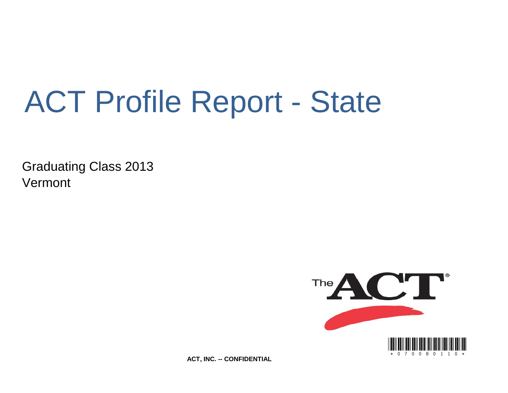# ACT Profile Report - State

Graduating Class 2013 Vermont



**ACT, INC. -- CONFIDENTIAL**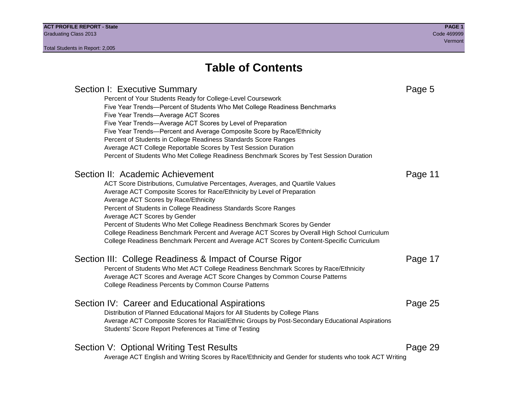## **Table of Contents**

## Section I: Executive Summary **Page 5** and the section I: Executive Summary Percent of Your Students Ready for College-Level Coursework Five Year Trends—Percent of Students Who Met College Readiness Benchmarks Five Year Trends—Average ACT Scores Five Year Trends—Average ACT Scores by Level of Preparation Five Year Trends—Percent and Average Composite Score by Race/Ethnicity Percent of Students in College Readiness Standards Score Ranges Average ACT College Reportable Scores by Test Session Duration Percent of Students Who Met College Readiness Benchmark Scores by Test Session Duration Section II: Academic Achievement **Page 11** Page 11 ACT Score Distributions, Cumulative Percentages, Averages, and Quartile Values Average ACT Composite Scores for Race/Ethnicity by Level of Preparation Average ACT Scores by Race/Ethnicity Percent of Students in College Readiness Standards Score Ranges Average ACT Scores by Gender Percent of Students Who Met College Readiness Benchmark Scores by Gender College Readiness Benchmark Percent and Average ACT Scores by Overall High School Curriculum College Readiness Benchmark Percent and Average ACT Scores by Content-Specific Curriculum Section III: College Readiness & Impact of Course Rigor Page 17 Percent of Students Who Met ACT College Readiness Benchmark Scores by Race/Ethnicity Average ACT Scores and Average ACT Score Changes by Common Course Patterns College Readiness Percents by Common Course Patterns Section IV: Career and Educational Aspirations **Page 25** Page 25 Distribution of Planned Educational Majors for All Students by College Plans Average ACT Composite Scores for Racial/Ethnic Groups by Post-Secondary Educational Aspirations Students' Score Report Preferences at Time of Testing Section V: Optional Writing Test Results **Page 29** Page 29 Average ACT English and Writing Scores by Race/Ethnicity and Gender for students who took ACT Writing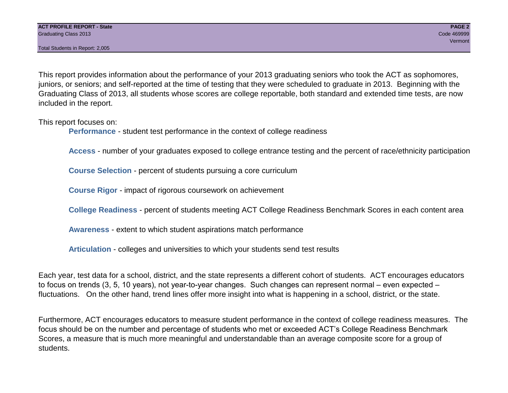Total Students in Report: 2,005

This report provides information about the performance of your 2013 graduating seniors who took the ACT as sophomores, juniors, or seniors; and self-reported at the time of testing that they were scheduled to graduate in 2013. Beginning with the Graduating Class of 2013, all students whose scores are college reportable, both standard and extended time tests, are now included in the report.

This report focuses on:

**Performance** - student test performance in the context of college readiness

**Access** - number of your graduates exposed to college entrance testing and the percent of race/ethnicity participation

**Course Selection** - percent of students pursuing a core curriculum

**Course Rigor** - impact of rigorous coursework on achievement

**College Readiness** - percent of students meeting ACT College Readiness Benchmark Scores in each content area

**Awareness** - extent to which student aspirations match performance

**Articulation** - colleges and universities to which your students send test results

Each year, test data for a school, district, and the state represents a different cohort of students. ACT encourages educators to focus on trends (3, 5, 10 years), not year-to-year changes. Such changes can represent normal – even expected – fluctuations. On the other hand, trend lines offer more insight into what is happening in a school, district, or the state.

Furthermore, ACT encourages educators to measure student performance in the context of college readiness measures. The focus should be on the number and percentage of students who met or exceeded ACT's College Readiness Benchmark Scores, a measure that is much more meaningful and understandable than an average composite score for a group of students.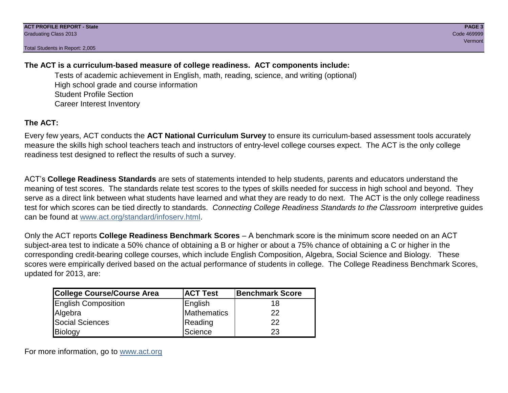Total Students in Report: 2,005

## **The ACT is a curriculum-based measure of college readiness. ACT components include:**

Tests of academic achievement in English, math, reading, science, and writing (optional) High school grade and course information Student Profile Section Career Interest Inventory

## **The ACT:**

Every few years, ACT conducts the **ACT National Curriculum Survey** to ensure its curriculum-based assessment tools accurately measure the skills high school teachers teach and instructors of entry-level college courses expect. The ACT is the only college readiness test designed to reflect the results of such a survey.

ACT's **College Readiness Standards** are sets of statements intended to help students, parents and educators understand the meaning of test scores. The standards relate test scores to the types of skills needed for success in high school and beyond. They serve as a direct link between what students have learned and what they are ready to do next. The ACT is the only college readiness test for which scores can be tied directly to standards. *Connecting College Readiness Standards to the Classroom* interpretive guides can be found at www.act.org/standard/infoserv.html.

Only the ACT reports **College Readiness Benchmark Scores** – A benchmark score is the minimum score needed on an ACT subject-area test to indicate a 50% chance of obtaining a B or higher or about a 75% chance of obtaining a C or higher in the corresponding credit-bearing college courses, which include English Composition, Algebra, Social Science and Biology. These scores were empirically derived based on the actual performance of students in college. The College Readiness Benchmark Scores, updated for 2013, are:

| College Course/Course Area | <b>ACT Test</b> | <b>Benchmark Score</b> |
|----------------------------|-----------------|------------------------|
| <b>English Composition</b> | English         | 18                     |
| Algebra                    | Mathematics     | 22                     |
| <b>Social Sciences</b>     | Reading         | 22                     |
| Biology                    | Science         | 23                     |

For more information, go to www.act.org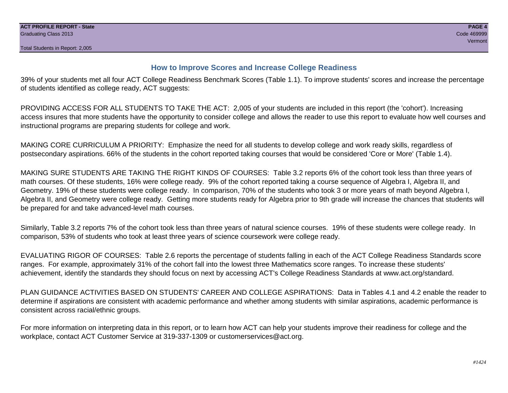## **How to Improve Scores and Increase College Readiness**

39% of your students met all four ACT College Readiness Benchmark Scores (Table 1.1). To improve students' scores and increase the percentage of students identified as college ready, ACT suggests:

PROVIDING ACCESS FOR ALL STUDENTS TO TAKE THE ACT: 2,005 of your students are included in this report (the 'cohort'). Increasing access insures that more students have the opportunity to consider college and allows the reader to use this report to evaluate how well courses and instructional programs are preparing students for college and work.

MAKING CORE CURRICULUM A PRIORITY: Emphasize the need for all students to develop college and work ready skills, regardless of postsecondary aspirations. 66% of the students in the cohort reported taking courses that would be considered 'Core or More' (Table 1.4).

MAKING SURE STUDENTS ARE TAKING THE RIGHT KINDS OF COURSES: Table 3.2 reports 6% of the cohort took less than three years of math courses. Of these students, 16% were college ready. 9% of the cohort reported taking a course sequence of Algebra I, Algebra II, and Geometry. 19% of these students were college ready. In comparison, 70% of the students who took 3 or more years of math beyond Algebra I, Algebra II, and Geometry were college ready. Getting more students ready for Algebra prior to 9th grade will increase the chances that students will be prepared for and take advanced-level math courses.

Similarly, Table 3.2 reports 7% of the cohort took less than three years of natural science courses. 19% of these students were college ready. In comparison, 53% of students who took at least three years of science coursework were college ready.

EVALUATING RIGOR OF COURSES: Table 2.6 reports the percentage of students falling in each of the ACT College Readiness Standards score ranges. For example, approximately 31% of the cohort fall into the lowest three Mathematics score ranges. To increase these students' achievement, identify the standards they should focus on next by accessing ACT's College Readiness Standards at www.act.org/standard.

PLAN GUIDANCE ACTIVITIES BASED ON STUDENTS' CAREER AND COLLEGE ASPIRATIONS: Data in Tables 4.1 and 4.2 enable the reader to determine if aspirations are consistent with academic performance and whether among students with similar aspirations, academic performance is consistent across racial/ethnic groups.

For more information on interpreting data in this report, or to learn how ACT can help your students improve their readiness for college and the workplace, contact ACT Customer Service at 319-337-1309 or customerservices@act.org.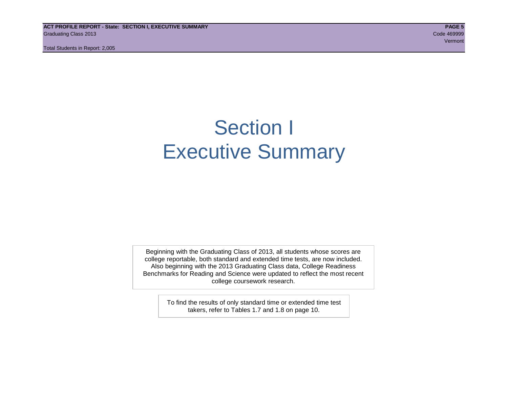**ACT PROFILE REPORT - State: SECTION I, EXECUTIVE SUMMARY PAGE 5** Graduating Class 2013 Code 469999

Total Students in Report: 2,005

## Section I Executive Summary

Beginning with the Graduating Class of 2013, all students whose scores are college reportable, both standard and extended time tests, are now included. Also beginning with the 2013 Graduating Class data, College Readiness Benchmarks for Reading and Science were updated to reflect the most recent college coursework research.

> To find the results of only standard time or extended time test takers, refer to Tables 1.7 and 1.8 on page 10.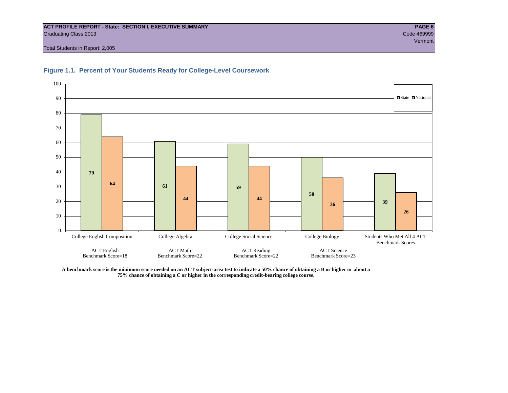## **ACT PROFILE REPORT - State: SECTION I, EXECUTIVE SUMMARY PAGE 6** Graduating Class 2013 Code 469999

Vermont

Total Students in Report: 2,005





**A benchmark score is the minimum score needed on an ACT subject-area test to indicate a 50% chance of obtaining a B or higher or about a 75% chance of obtaining a C or higher in the corresponding credit-bearing college course.**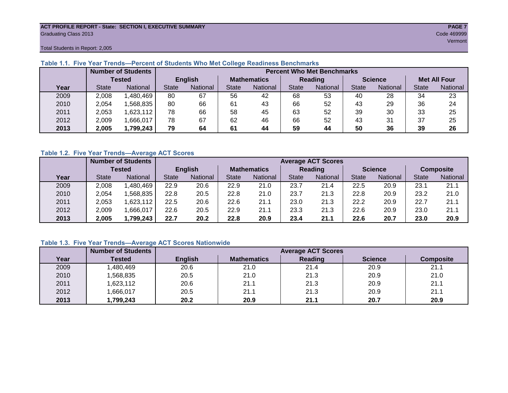## **ACT PROFILE REPORT - State: SECTION I, EXECUTIVE SUMMARY PAGE 7** Graduating Class 2013 Code 469999

Total Students in Report: 2,005

|      |              | <b>Number of Students</b> |       |                | <b>Percent Who Met Benchmarks</b> |          |                |                 |                |          |                     |                 |  |  |  |
|------|--------------|---------------------------|-------|----------------|-----------------------------------|----------|----------------|-----------------|----------------|----------|---------------------|-----------------|--|--|--|
|      |              | <b>Tested</b>             |       | <b>English</b> | <b>Mathematics</b>                |          | <b>Reading</b> |                 | <b>Science</b> |          | <b>Met All Four</b> |                 |  |  |  |
| Year | <b>State</b> | <b>National</b>           | State | National       |                                   | National | <b>State</b>   | <b>National</b> |                | National | <b>State</b>        | <b>National</b> |  |  |  |
| 2009 | 2,008        | ,480,469                  | 80    | 67             | 56                                | 42       | 68             | 53              | 40             | 28       | 34                  | 23              |  |  |  |
| 2010 | 2,054        | .568.835                  | 80    | 66             | 61                                | 43       | 66             | 52              | 43             | 29       | 36                  | 24              |  |  |  |
| 2011 | 2.053        | .623,112                  | 78    | 66             | 58                                | 45       | 63             | 52              | 39             | 30       | 33                  | 25              |  |  |  |
| 2012 | 2,009        | .666,017                  | 78    | 67             | 62                                | 46       | 66             | 52              | 43             | 31       | 37                  | 25              |  |  |  |
| 2013 | 2,005        | 1,799,243                 | 79    | 64             | 61                                | 44       | 59             | 44              | 50             | 36       | 39                  | 26              |  |  |  |

## **Table 1.1. Five Year Trends—Percent of Students Who Met College Readiness Benchmarks**

## **Table 1.2. Five Year Trends—Average ACT Scores**

|      |              | <b>Number of Students</b> |              |                | <b>Average ACT Scores</b> |          |                |                 |                |          |                  |          |  |  |
|------|--------------|---------------------------|--------------|----------------|---------------------------|----------|----------------|-----------------|----------------|----------|------------------|----------|--|--|
|      |              | Tested                    |              | <b>English</b> | <b>Mathematics</b>        |          | <b>Reading</b> |                 | <b>Science</b> |          | <b>Composite</b> |          |  |  |
| Year | <b>State</b> | <b>National</b>           | <b>State</b> | National       |                           | National | <b>State</b>   | <b>National</b> | <b>State</b>   | National | <b>State</b>     | National |  |  |
| 2009 | 2,008        | ,480,469                  | 22.9         | 20.6           | 22.9                      | 21.0     | 23.7           | 21.4            | 22.5           | 20.9     | 23.1             | 21.1     |  |  |
| 2010 | 2,054        | .568.835                  | 22.8         | 20.5           | 22.8                      | 21.0     | 23.7           | 21.3            | 22.8           | 20.9     | 23.2             | 21.0     |  |  |
| 2011 | 2,053        | .623,112                  | 22.5         | 20.6           | 22.6                      | 21.1     | 23.0           | 21.3            | 22.2           | 20.9     | 22.7             | 21.1     |  |  |
| 2012 | 2,009        | ,666,017                  | 22.6         | 20.5           | 22.9                      | 21.1     | 23.3           | 21.3            | 22.6           | 20.9     | 23.0             | 21.1     |  |  |
| 2013 | 2,005        | 1,799,243                 | 22.7         | 20.2           | 22.8                      | 20.9     | 23.4           | 21.1            | 22.6           | 20.7     | 23.0             | 20.9     |  |  |

## **Table 1.3. Five Year Trends—Average ACT Scores Nationwide**

|      | <b>Number of Students</b> |                | <b>Average ACT Scores</b> |         |                |                  |  |  |  |  |  |  |
|------|---------------------------|----------------|---------------------------|---------|----------------|------------------|--|--|--|--|--|--|
| Year | Tested                    | <b>English</b> | <b>Mathematics</b>        | Reading | <b>Science</b> | <b>Composite</b> |  |  |  |  |  |  |
| 2009 | ,480,469                  | 20.6           | 21.0                      | 21.4    | 20.9           | 21.1             |  |  |  |  |  |  |
| 2010 | ,568,835                  | 20.5           | 21.0                      | 21.3    | 20.9           | 21.0             |  |  |  |  |  |  |
| 2011 | ,623,112                  | 20.6           | 21.1                      | 21.3    | 20.9           | 21.1             |  |  |  |  |  |  |
| 2012 | ,666,017                  | 20.5           | 21.1                      | 21.3    | 20.9           | 21.1             |  |  |  |  |  |  |
| 2013 | ,799,243                  | 20.2           | 20.9                      | 21.1    | 20.7           | 20.9             |  |  |  |  |  |  |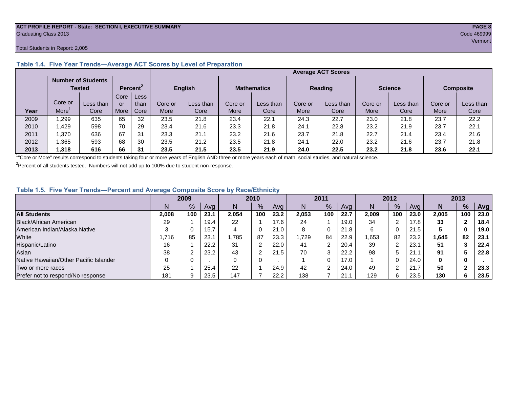## **ACT PROFILE REPORT - State: SECTION I, EXECUTIVE SUMMARY PAGE 8** Graduating Class 2013 Code 469999

## Total Students in Report: 2,005

|      |         |                                     |      |                      |                |           |         |                    | <b>Average ACT Scores</b> |           |                |           |                  |           |
|------|---------|-------------------------------------|------|----------------------|----------------|-----------|---------|--------------------|---------------------------|-----------|----------------|-----------|------------------|-----------|
|      |         | <b>Number of Students</b><br>Tested |      | Percent <sup>2</sup> | <b>English</b> |           |         | <b>Mathematics</b> | <b>Reading</b>            |           | <b>Science</b> |           | <b>Composite</b> |           |
|      |         |                                     | Core | Less                 |                |           |         |                    |                           |           |                |           |                  |           |
|      | Core or | Less than                           | or   | than                 | Core or        | Less than | Core or | Less than          | Core or                   | Less than | Core or        | Less than | Core or          | Less than |
| Year | More    | Core                                | More | Core                 | More           | Core      | More    | Core               | More                      | Core      | More           | Core      | More             | Core      |
| 2009 | .299    | 635                                 | 65   | 32                   | 23.5           | 21.8      | 23.4    | 22.1               | 24.3                      | 22.7      | 23.0           | 21.8      | 23.7             | 22.2      |
| 2010 | .429    | 598                                 | 70   | 29                   | 23.4           | 21.6      | 23.3    | 21.8               | 24.1                      | 22.8      | 23.2           | 21.9      | 23.7             | 22.1      |
| 2011 | .370    | 636                                 | 67   | 31                   | 23.3           | 21.1      | 23.2    | 21.6               | 23.7                      | 21.8      | 22.7           | 21.4      | 23.4             | 21.6      |
| 2012 | .365    | 593                                 | 68   | 30                   | 23.5           | 21.2      | 23.5    | 21.8               | 24.1                      | 22.0      | 23.2           | 21.6      | 23.7             | 21.8      |
| 2013 | ,318    | 616                                 | 66   | 31                   | 23.5           | 21.5      | 23.5    | 21.9               | 24.0                      | 22.5      | 23.2           | 21.8      | 23.6             | 22.1      |

## **Table 1.4. Five Year Trends—Average ACT Scores by Level of Preparation**

<sup>1</sup>"Core or More" results correspond to students taking four or more years of English AND three or more years each of math, social studies, and natural science.

 $2$ Percent of all students tested. Numbers will not add up to 100% due to student non-response.

## **Table 1.5. Five Year Trends—Percent and Average Composite Score by Race/Ethnicity**

|                                        | 2009  |     | 2010 |       | 2011           |      | 2012  |     |      | 2013  |     |      |        |            |      |
|----------------------------------------|-------|-----|------|-------|----------------|------|-------|-----|------|-------|-----|------|--------|------------|------|
|                                        | N     | %   | Avg  | N     | $\frac{9}{6}$  | Avg  | N     | %   | Avg  | Ν     | %   | Ava  | N      | %          | Avg  |
| <b>All Students</b>                    | 2.008 | 100 | 23.1 | 2.054 | 100            | 23.2 | 2,053 | 100 | 22.7 | 2.009 | 100 | 23.0 | 2.005  | 100        | 23.0 |
| Black/African American                 | 29    |     | 19.4 | 22    |                | 17.6 | 24    |     | 19.0 | 34    | ◠   | 17.8 | 33     |            | 18.4 |
| American Indian/Alaska Native          |       |     | 15.7 | 4     | 0              | 21.0 | 8     | 0   | 21.8 | 6     |     | 21.5 | Ð      | 0          | 19.0 |
| White                                  | 716،  | 85  | 23.1 | .785  | 87             | 23.3 | 1.729 | 84  | 22.9 | ,653  | 82  | 23.2 | 645. ا | 82         | 23.1 |
| Hispanic/Latino                        | 16    |     | 22.2 | 31    | ົ              | 22.0 | 41    | ົ   | 20.4 | 39    |     | 23.  | 51     |            | 22.4 |
| Asian                                  | 38    |     | 23.2 | 43    | $\overline{2}$ | 21.5 | 70    | 3   | 22.2 | 98    | 5   | 21.7 | 91     |            | 22.8 |
| Native Hawaiian/Other Pacific Islander |       |     |      | 0     | 0              |      |       | 0   | 17.0 |       |     | 24.0 | 0      | 0          |      |
| Two or more races                      | 25    |     | 25.4 | 22    |                | 24.9 | 42    | C   | 24.0 | 49    |     | 21.7 | 50     | $\sqrt{2}$ | 23.3 |
| Prefer not to respond/No response      | 181   |     | 23.5 | 147   |                | 22.2 | 138   |     | 21.7 | 129   | 6   | 23.5 | 130    | 6          | 23.5 |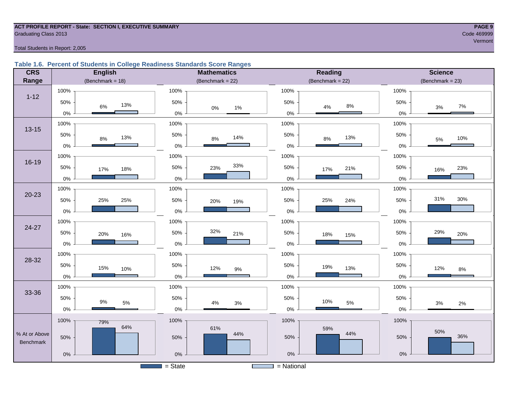## **ACT PROFILE REPORT - State: SECTION I, EXECUTIVE SUMMARY PAGE 9** Code 469999 Craduating Class 2013

## Total Students in Report: 2,005

## **Table 1.6. Percent of Students in College Readiness Standards Score Ranges**

| <b>CRS</b>    | <b>English</b>        | <b>Mathematics</b>                    | Reading             | <b>Science</b>       |
|---------------|-----------------------|---------------------------------------|---------------------|----------------------|
| Range         | (Benchmark = $18$ )   | (Benchmark = $22$ )                   | (Benchmark = $22$ ) | $(Benchmark = 23)$   |
|               | 100%                  | 100%                                  | 100%                | 100%                 |
| $1 - 12$      | 50%<br>13%<br>6%      | 50%                                   | 50%<br>$8\%$        | 50%<br>$7\%$<br>$3%$ |
|               | $0\%$                 | $1\%$<br>$0\%$<br>$0\%$               | $4\%$<br>$0\%$      | $0\%$                |
| $13 - 15$     | 100%                  | 100%                                  | 100%                | 100%                 |
|               | 50%<br>13%<br>$8\%$   | 50%<br>14%<br>8%                      | 50%<br>13%<br>$8\%$ | 50%<br>10%<br>5%     |
|               | $0\%$                 | $0\%$                                 | $0\%$               | 0%                   |
|               | 100%                  | 100%                                  | 100%                | 100%                 |
| 16-19         | 50%<br>17%<br>18%     | 33%<br>50%<br>23%                     | 50%<br>21%<br>17%   | 50%<br>23%<br>16%    |
|               | $0\%$                 | 0%                                    | $0\%$               | 0%                   |
|               | 100%                  | 100%                                  | 100%                | 100%                 |
| $20 - 23$     | 50%<br>25%<br>25%     | 50%<br>20%<br>19%                     | 50%<br>25%<br>24%   | 31%<br>30%<br>50%    |
|               | $0\%$                 | 0%                                    | $0\%$               | 0%                   |
|               | 100%                  | 100%                                  | 100%                | 100%                 |
| 24-27         | 50%<br>20%<br>16%     | 32%<br>50%<br>21%                     | 50%<br>18%<br>15%   | 29%<br>50%<br>20%    |
|               | $0\%$                 | 0%                                    | $0\%$               | 0%                   |
| 28-32         | 100%                  | 100%                                  | 100%                | 100%                 |
|               | 50%<br>15%<br>10%     | 50%<br>12%<br>$9\%$                   | 50%<br>19%<br>13%   | 50%<br>12%<br>$8\%$  |
|               | $0\%$                 | $0\%$                                 | $0\%$               | 0%                   |
| 33-36         | 100%                  | 100%                                  | 100%                | 100%                 |
|               | 50%<br>$9\%$<br>$5\%$ | 50%<br>4%<br>3%                       | 50%<br>10%<br>5%    | 50%<br>$3%$<br>2%    |
|               | $0\%$                 | 0%                                    | $0\%$               | 0%                   |
|               | 100%<br>79%           | 100%                                  | 100%                | 100%                 |
| % At or Above | 64%                   | 61%<br>44%                            | 59%<br>44%          | 50%<br>36%           |
| Benchmark     | 50%                   | 50%                                   | 50%                 | 50%                  |
|               | $0\%$                 | $0\%$                                 | $0\%$               | $0\%$                |
|               |                       | $=$ State<br><b>Contract Contract</b> | = National          |                      |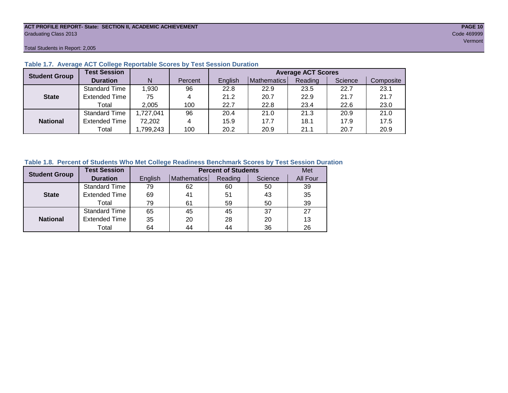## **ACT PROFILE REPORT- State: SECTION II, ACADEMIC ACHIEVEMENT PAGE 10** Graduating Class 2013 Code 469999

Total Students in Report: 2,005

| <b>Student Group</b> | <b>Test Session</b>  |           |         | <b>Average ACT Scores</b> |                    |         |         |           |  |  |  |  |
|----------------------|----------------------|-----------|---------|---------------------------|--------------------|---------|---------|-----------|--|--|--|--|
|                      | <b>Duration</b>      | N         | Percent | English                   | <b>Mathematics</b> | Reading | Science | Composite |  |  |  |  |
|                      | <b>Standard Time</b> | 1,930     | 96      | 22.8                      | 22.9               | 23.5    | 22.7    | 23.1      |  |  |  |  |
| <b>State</b>         | <b>Extended Time</b> | 75        | 4       | 21.2                      | 20.7               | 22.9    | 21.7    | 21.7      |  |  |  |  |
|                      | Total                | 2,005     | 100     | 22.7                      | 22.8               | 23.4    | 22.6    | 23.0      |  |  |  |  |
|                      | <b>Standard Time</b> | 1,727,041 | 96      | 20.4                      | 21.0               | 21.3    | 20.9    | 21.0      |  |  |  |  |
| <b>National</b>      | <b>Extended Time</b> | 72,202    | 4       | 15.9                      | 17.7               | 18.1    | 17.9    | 17.5      |  |  |  |  |
|                      | Total                | ,799,243  | 100     | 20.2                      | 20.9               | 21.1    | 20.7    | 20.9      |  |  |  |  |

## **Table 1.7. Average ACT College Reportable Scores by Test Session Duration**

## **Table 1.8. Percent of Students Who Met College Readiness Benchmark Scores by Test Session Duration**

| <b>Student Group</b> | <b>Test Session</b>  |         | Met         |         |         |          |
|----------------------|----------------------|---------|-------------|---------|---------|----------|
|                      | <b>Duration</b>      | English | Mathematics | Reading | Science | All Four |
|                      | <b>Standard Time</b> | 79      | 62          | 60      | 50      | 39       |
| <b>State</b>         | <b>Extended Time</b> | 69      | 41          | 51      | 43      | 35       |
|                      | Total                | 79      | 61          | 59      | 50      | 39       |
|                      | <b>Standard Time</b> | 65      | 45          | 45      | 37      | 27       |
| <b>National</b>      | <b>Extended Time</b> | 35      | 20          | 28      | 20      | 13       |
|                      | Total                | 64      | 44          | 44      | 36      | 26       |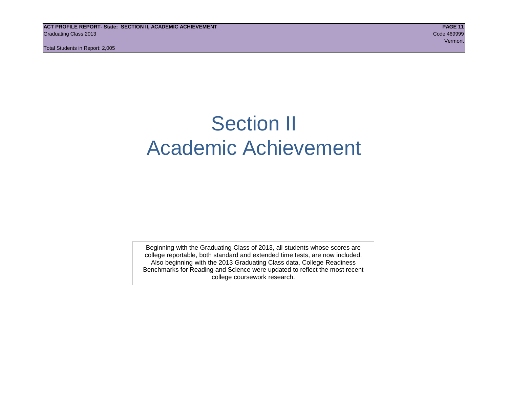Total Students in Report: 2,005

## Section II Academic Achievement

Beginning with the Graduating Class of 2013, all students whose scores are college reportable, both standard and extended time tests, are now included. Also beginning with the 2013 Graduating Class data, College Readiness Benchmarks for Reading and Science were updated to reflect the most recent college coursework research.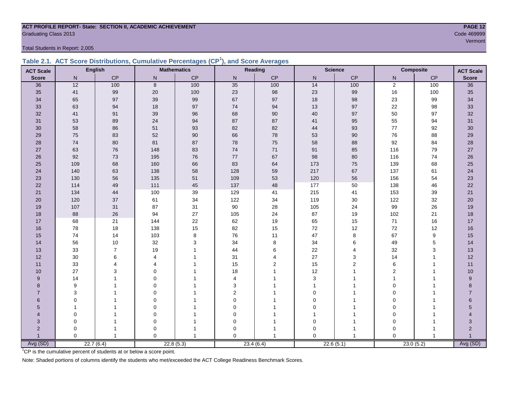## **ACT PROFILE REPORT- State: SECTION II, ACADEMIC ACHIEVEMENT PAGE 12** Graduating Class 2013 Code 469999

Total Students in Report: 2,005

|  | Table 2.1. ACT Score Distributions, Cumulative Percentages (CP <sup>1</sup> ), and Score Averages |  |  |  |
|--|---------------------------------------------------------------------------------------------------|--|--|--|
|  |                                                                                                   |  |  |  |

| <b>ACT Scale</b> |              | <b>English</b> |                  | <b>Mathematics</b> |              | Reading        |              | <b>Science</b>    |                | <b>Composite</b><br><b>ACT Scale</b> |                           |
|------------------|--------------|----------------|------------------|--------------------|--------------|----------------|--------------|-------------------|----------------|--------------------------------------|---------------------------|
| <b>Score</b>     | N            | CP             | $\mathsf{N}$     | CP                 | ${\sf N}$    | CP             | $\mathsf{N}$ | CP                | N              | CP                                   | <b>Score</b>              |
| 36               | 12           | 100            | $\boldsymbol{8}$ | 100                | 35           | 100            | 14           | $\frac{100}{100}$ | $\overline{2}$ | 100                                  | 36                        |
| 35               | 41           | 99             | 20               | 100                | 23           | 98             | 23           | 99                | 16             | 100                                  | 35                        |
| 34               | 65           | 97             | 39               | 99                 | 67           | 97             | 18           | 98                | 23             | 99                                   | 34                        |
| 33               | 63           | 94             | 18               | 97                 | 74           | 94             | 13           | 97                | 22             | 98                                   | 33                        |
| 32               | 41           | 91             | 39               | 96                 | 68           | 90             | 40           | 97                | 50             | 97                                   | 32                        |
| 31               | 53           | 89             | 24               | 94                 | 87           | 87             | 41           | 95                | 55             | 94                                   | 31                        |
| 30               | 58           | 86             | 51               | 93                 | 82           | 82             | 44           | 93                | 77             | 92                                   | $30\,$                    |
| 29               | 75           | 83             | 52               | $90\,$             | 66           | 78             | 53           | $90\,$            | 76             | 88                                   | 29                        |
| 28               | 74           | 80             | 81               | 87                 | 78           | 75             | 58           | 88                | 92             | 84                                   | 28                        |
| 27               | 63           | 76             | 148              | 83                 | $74\,$       | $71$           | 91           | 85                | 116            | 79                                   | 27                        |
| 26               | 92           | 73             | 195              | 76                 | $77\,$       | 67             | 98           | 80                | 116            | 74                                   | 26                        |
| 25               | 109          | 68             | 160              | 66                 | 83           | 64             | 173          | 75                | 139            | 68                                   | 25                        |
| 24               | 140          | 63             | 138              | 58                 | 128          | 59             | 217          | 67                | 137            | 61                                   | 24                        |
| 23               | 130          | 56             | 135              | 51                 | 109          | 53             | 120          | 56                | 156            | 54                                   | 23                        |
| 22               | 114          | 49             | 111              | 45                 | 137          | 48             | 177          | 50                | 138            | 46                                   | 22                        |
| 21               | 134          | 44             | 100              | 39                 | 129          | 41             | 215          | 41                | 153            | 39                                   | $21$                      |
| 20               | 120          | 37             | 61               | 34                 | 122          | 34             | 119          | $30\,$            | 122            | 32                                   | 20                        |
| 19               | 107          | 31             | 87               | 31                 | $90\,$       | 28             | 105          | 24                | 99             | 26                                   | 19                        |
| 18               | 88           | 26             | 94               | 27                 | 105          | 24             | 87           | 19                | 102            | 21                                   | 18                        |
| 17               | 68           | 21             | 144              | 22                 | 62           | 19             | 65           | 15                | $71$           | 16                                   | $17$                      |
| 16               | 78           | 18             | 138              | 15                 | 82           | 15             | 72           | 12                | 72             | 12                                   | 16                        |
| 15               | 74           | 14             | 103              | 8                  | 76           | 11             | 47           | 8                 | 67             | 9                                    | 15                        |
| 14               | 56           | 10             | 32               | 3                  | 34           | 8              | 34           | 6                 | 49             | 5                                    | 14                        |
| 13               | 33           | $\overline{7}$ | 19               |                    | 44           | 6              | 22           | 4                 | 32             | 3                                    | 13                        |
| 12               | $30\,$       | 6              | 4                |                    | 31           | 4              | 27           | 3                 | 14             | 1                                    | 12                        |
| 11               | 33           | 4              | $\overline{4}$   |                    | 15           | $\overline{2}$ | 15           | 2                 | $\,6$          | 1                                    | 11                        |
| 10               | 27           | 3              | $\Omega$         |                    | 18           |                | 12           | 1                 | $\overline{2}$ | 1                                    | 10                        |
| 9                | 14           |                | $\Omega$         |                    | 4            |                | 3            |                   | $\overline{1}$ | 1                                    | $\boldsymbol{9}$          |
| 8                | 9            |                | $\Omega$         |                    | 3            |                |              |                   | $\mathbf 0$    |                                      | 8                         |
| $\overline{7}$   | 3            |                | $\Omega$         |                    | $\mathbf{2}$ |                | $\Omega$     |                   | $\Omega$       |                                      | $\overline{7}$            |
| 6                | $\mathbf 0$  |                | 0                |                    | $\mathbf 0$  |                | $\Omega$     |                   | $\Omega$       |                                      | 6                         |
| 5                | $\mathbf{1}$ |                | $\mathbf 0$      |                    | 0            |                | $\Omega$     |                   | $\Omega$       |                                      | 5                         |
| 4                | 0            |                | $\mathbf 0$      |                    | 0            |                |              |                   | $\mathbf 0$    |                                      |                           |
| 3                | $\mathbf 0$  |                | $\mathbf 0$      |                    | 0            |                | 0            |                   | $\mathbf 0$    |                                      | $\ensuremath{\mathsf{3}}$ |
| $\overline{2}$   | 0            |                | $\mathbf 0$      |                    | 0            |                | 0            | 1                 | $\mathbf 0$    |                                      | $\sqrt{2}$                |
| $\overline{1}$   | $\Omega$     | $\mathbf{1}$   | $\Omega$         | $\overline{1}$     | $\Omega$     |                | $\Omega$     | 1                 | $\Omega$       | $\overline{1}$                       | $\mathbf{1}$              |
| Avg (SD)         |              | 22.7(6.4)      |                  | 22.8(5.3)          |              | 23.4(6.4)      |              | 22.6(5.1)         |                | 23.0(5.2)                            | Avg (SD)                  |

<sup>1</sup>CP is the cumulative percent of students at or below a score point.

Note: Shaded portions of columns identify the students who met/exceeded the ACT College Readiness Benchmark Scores.

Vermont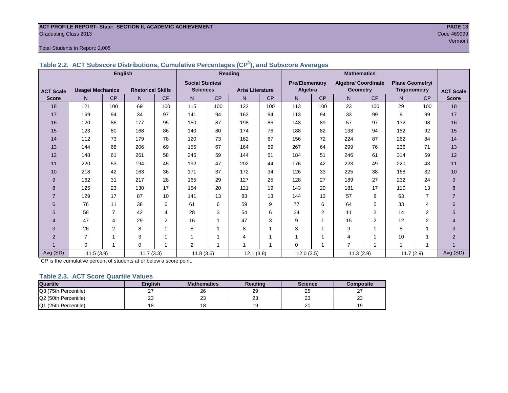## **ACT PROFILE REPORT- State: SECTION II, ACADEMIC ACHIEVEMENT PAGE 13** Graduating Class 2013 Code 469999

## Total Students in Report: 2,005

|                  |                         | <b>English</b> |                          |                | Reading                |           |                        |           | <b>Mathematics</b>    |                |                            |           |                        |                |                  |
|------------------|-------------------------|----------------|--------------------------|----------------|------------------------|-----------|------------------------|-----------|-----------------------|----------------|----------------------------|-----------|------------------------|----------------|------------------|
|                  |                         |                |                          |                | <b>Social Studies/</b> |           |                        |           | <b>Pre/Elementary</b> |                | <b>Algebra/ Coordinate</b> |           | <b>Plane Geometry/</b> |                |                  |
| <b>ACT Scale</b> | <b>Usage/ Mechanics</b> |                | <b>Rhetorical Skills</b> |                | <b>Sciences</b>        |           | <b>Arts/Literature</b> |           | Algebra               |                | <b>Geometry</b>            |           | <b>Trigonometry</b>    |                | <b>ACT Scale</b> |
| <b>Score</b>     | N <sub>1</sub>          | <b>CP</b>      | N                        | CP             | N.                     | <b>CP</b> | N                      | <b>CP</b> | N <sub>1</sub>        | <b>CP</b>      | N.                         | <b>CP</b> | N.                     | <b>CP</b>      | <b>Score</b>     |
| 18               | 121                     | 100            | 69                       | 100            | 115                    | 100       | 122                    | 100       | 113                   | 100            | 23                         | 100       | 29                     | 100            | 18               |
| 17               | 169                     | 94             | 34                       | 97             | 141                    | 94        | 163                    | 94        | 113                   | 94             | 33                         | 99        | 9                      | 99             | 17               |
| 16               | 120                     | 86             | 177                      | 95             | 150                    | 87        | 198                    | 86        | 143                   | 89             | 57                         | 97        | 132                    | 98             | 16               |
| 15               | 123                     | 80             | 168                      | 86             | 140                    | 80        | 174                    | 76        | 188                   | 82             | 138                        | 94        | 152                    | 92             | 15               |
| 14               | 112                     | 73             | 179                      | 78             | 120                    | 73        | 162                    | 67        | 156                   | 72             | 224                        | 87        | 262                    | 84             | 14               |
| 13               | 144                     | 68             | 206                      | 69             | 155                    | 67        | 164                    | 59        | 267                   | 64             | 299                        | 76        | 236                    | 71             | 13               |
| 12               | 148                     | 61             | 261                      | 58             | 245                    | 59        | 144                    | 51        | 184                   | 51             | 246                        | 61        | 314                    | 59             | 12               |
| 11               | 220                     | 53             | 194                      | 45             | 192                    | 47        | 202                    | 44        | 176                   | 42             | 223                        | 49        | 220                    | 43             | 11               |
| 10               | 218                     | 42             | 163                      | 36             | 171                    | 37        | 172                    | 34        | 126                   | 33             | 225                        | 38        | 168                    | 32             | 10               |
| 9                | 162                     | 31             | 217                      | 28             | 165                    | 29        | 127                    | 25        | 128                   | 27             | 189                        | 27        | 232                    | 24             | 9                |
| 8                | 125                     | 23             | 130                      | 17             | 154                    | 20        | 121                    | 19        | 143                   | 20             | 181                        | 17        | 110                    | 13             | 8                |
|                  | 129                     | 17             | 87                       | 10             | 141                    | 13        | 83                     | 13        | 144                   | 13             | 57                         | 8         | 63                     | $\overline{7}$ | $\overline{7}$   |
| 6                | 76                      | 11             | 38                       | 6              | 61                     | 6         | 59                     | 9         | 77                    | 6              | 64                         | 5         | 33                     | 4              | 6                |
| 5                | 58                      | $\overline{7}$ | 42                       | 4              | 28                     | 3         | 54                     | 6         | 34                    | $\overline{2}$ | 11                         | 2         | 14                     | 2              | 5                |
| 4                | 47                      | $\overline{4}$ | 29                       | $\overline{2}$ | 16                     |           | 47                     | 3         | 9                     | 1              | 15                         | 2         | 12                     | 2              | $\overline{4}$   |
| 3                | 26                      | $\overline{2}$ | 8                        |                | 8                      |           | 8                      | 1         | 3                     | 1              | 9                          |           | 8                      |                | 3                |
| $\overline{2}$   | $\overline{7}$          |                | 3                        |                |                        |           | 4                      | 1         | 1                     | 1              | 4                          |           | 10                     |                | $\overline{2}$   |
|                  | 0                       |                | $\mathbf 0$              |                | 2                      |           | 4                      | 1         | $\Omega$              | 1              | $\overline{7}$             | 1         | 1                      | 1              |                  |
| Avg (SD)         | 11.5(3.9)               |                | 11.7(3.3)                |                | 11.8(3.6)              |           | 12.1(3.8)              |           | 12.0(3.5)             |                | 11.3(2.9)                  |           | 11.7(2.9)              |                | Avg (SD)         |

**Table 2.2. ACT Subscore Distributions, Cumulative Percentages (CP<sup>1</sup> ), and Subscore Averages**

 $1^{\circ}$ CP is the cumulative percent of students at or below a score point.

## **Table 2.3. ACT Score Quartile Values**

| <b>Quartile</b>      | Enalish  | <b>Mathematics</b> | <b>Reading</b> | <b>Science</b> | Composite |
|----------------------|----------|--------------------|----------------|----------------|-----------|
| Q3 (75th Percentile) | <u>.</u> | 26                 | 29             | 25             |           |
| Q2 (50th Percentile) | 23       | מר<br>د∠           | nn<br>د∠       | nn<br>د∠       | nn<br>د∠  |
| Q1 (25th Percentile) |          |                    |                | 20             |           |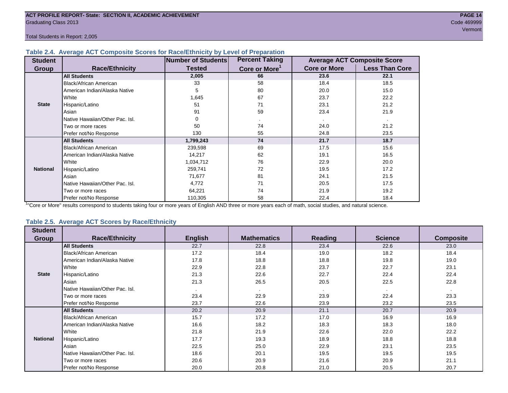Total Students in Report: 2,005

## **Table 2.4. Average ACT Composite Scores for Race/Ethnicity by Level of Preparation**

| <b>Student</b>  |                                 | <b>Number of Students</b> | <b>Percent Taking</b>     |                     | <b>Average ACT Composite Score</b> |
|-----------------|---------------------------------|---------------------------|---------------------------|---------------------|------------------------------------|
| Group           | <b>Race/Ethnicity</b>           | <b>Tested</b>             | Core or More <sup>1</sup> | <b>Core or More</b> | <b>Less Than Core</b>              |
|                 | <b>All Students</b>             | 2,005                     | 66                        | 23.6                | 22.1                               |
|                 | Black/African American          | 33                        | 58                        | 18.4                | 18.5                               |
|                 | American Indian/Alaska Native   | 5                         | 80                        | 20.0                | 15.0                               |
|                 | White                           | 1,645                     | 67                        | 23.7                | 22.2                               |
| <b>State</b>    | Hispanic/Latino                 | 51                        | 71                        | 23.1                | 21.2                               |
|                 | Asian                           | 91                        | 59                        | 23.4                | 21.9                               |
|                 | Native Hawaiian/Other Pac. Isl. | 0                         |                           |                     |                                    |
|                 | Two or more races               | 50                        | 74                        | 24.0                | 21.2                               |
|                 | Prefer not/No Response          | 130                       | 55                        | 24.8                | 23.5                               |
|                 | <b>All Students</b>             | 1,799,243                 | 74                        | 21.7                | 18.7                               |
|                 | Black/African American          | 239,598                   | 69                        | 17.5                | 15.6                               |
|                 | American Indian/Alaska Native   | 14,217                    | 62                        | 19.1                | 16.5                               |
|                 | White                           | 1,034,712                 | 76                        | 22.9                | 20.0                               |
| <b>National</b> | Hispanic/Latino                 | 259,741                   | 72                        | 19.5                | 17.2                               |
|                 | Asian                           | 71,677                    | 81                        | 24.1                | 21.5                               |
|                 | Native Hawaiian/Other Pac. Isl. | 4,772                     | 71                        | 20.5                | 17.5                               |
|                 | Two or more races               | 64,221                    | 74                        | 21.9                | 19.2                               |
|                 | Prefer not/No Response          | 110,305                   | 58                        | 22.4                | 18.4                               |

<sup>1</sup>"Core or More" results correspond to students taking four or more years of English AND three or more years each of math, social studies, and natural science.

## **Table 2.5. Average ACT Scores by Race/Ethnicity**

| <b>Student</b>  |                                 |                |                          |         |                |                  |
|-----------------|---------------------------------|----------------|--------------------------|---------|----------------|------------------|
| Group           | <b>Race/Ethnicity</b>           | <b>English</b> | <b>Mathematics</b>       | Reading | <b>Science</b> | <b>Composite</b> |
|                 | <b>All Students</b>             | 22.7           | 22.8                     | 23.4    | 22.6           | 23.0             |
|                 | Black/African American          | 17.2           | 18.4                     | 19.0    | 18.2           | 18.4             |
|                 | American Indian/Alaska Native   | 17.8           | 18.8                     | 18.8    | 19.8           | 19.0             |
|                 | <b>White</b>                    | 22.9           | 22.8                     | 23.7    | 22.7           | 23.1             |
| <b>State</b>    | Hispanic/Latino                 | 21.3           | 22.6                     | 22.7    | 22.4           | 22.4             |
|                 | Asian                           | 21.3           | 26.5                     | 20.5    | 22.5           | 22.8             |
|                 | Native Hawaiian/Other Pac. Isl. |                | $\overline{\phantom{a}}$ |         |                |                  |
|                 | Two or more races               | 23.4           | 22.9                     | 23.9    | 22.4           | 23.3             |
|                 | Prefer not/No Response          | 23.7           | 22.6                     | 23.9    | 23.2           | 23.5             |
|                 | <b>All Students</b>             | 20.2           | 20.9                     | 21.1    | 20.7           | 20.9             |
|                 | Black/African American          | 15.7           | 17.2                     | 17.0    | 16.9           | 16.9             |
|                 | American Indian/Alaska Native   | 16.6           | 18.2                     | 18.3    | 18.3           | 18.0             |
|                 | White                           | 21.8           | 21.9                     | 22.6    | 22.0           | 22.2             |
| <b>National</b> | Hispanic/Latino                 | 17.7           | 19.3                     | 18.9    | 18.8           | 18.8             |
|                 | Asian                           | 22.5           | 25.0                     | 22.9    | 23.1           | 23.5             |
|                 | Native Hawaiian/Other Pac. Isl. | 18.6           | 20.1                     | 19.5    | 19.5           | 19.5             |
|                 | Two or more races               | 20.6           | 20.9                     | 21.6    | 20.9           | 21.1             |
|                 | Prefer not/No Response          | 20.0           | 20.8                     | 21.0    | 20.5           | 20.7             |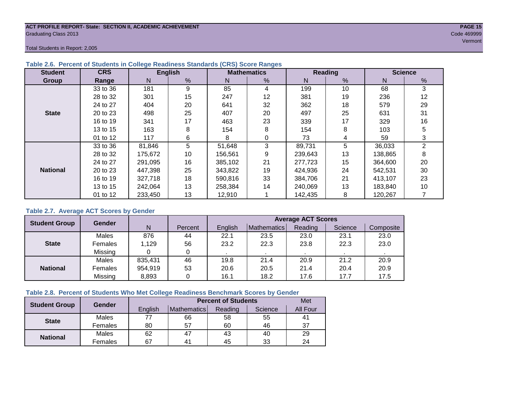## **ACT PROFILE REPORT- State: SECTION II, ACADEMIC ACHIEVEMENT PAGE 15** Graduating Class 2013 Code 469999

Total Students in Report: 2,005

| <b>Student</b>  | <b>CRS</b> |         | <b>English</b> |         | <b>Mathematics</b> |         | <b>Reading</b>  | <b>Science</b> |    |  |
|-----------------|------------|---------|----------------|---------|--------------------|---------|-----------------|----------------|----|--|
| Group           | Range      | N       | %              | N       | %                  | N       | $\frac{9}{6}$   | N              | %  |  |
|                 | 33 to 36   | 181     | 9              | 85      | 4                  | 199     | 10 <sup>°</sup> | 68             | 3  |  |
|                 | 28 to 32   | 301     | 15             | 247     | 12                 | 381     | 19              | 236            | 12 |  |
|                 | 24 to 27   | 404     | 20             | 641     | 32                 | 362     | 18              | 579            | 29 |  |
| <b>State</b>    | 20 to 23   | 498     | 25             | 407     | 20                 | 497     | 25              | 631            | 31 |  |
|                 | 16 to 19   | 341     | 17             | 463     | 23                 | 339     | 17              | 329            | 16 |  |
|                 | 13 to 15   | 163     | 8              | 154     | 8                  | 154     | 8               | 103            | 5  |  |
|                 | 01 to 12   | 117     | 6              | 8       |                    | 73      | 4               | 59             | 3  |  |
|                 | 33 to 36   | 81,846  | 5              | 51,648  | 3                  | 89,731  | 5               | 36,033         | 2  |  |
|                 | 28 to 32   | 175,672 | 10             | 156,561 | 9                  | 239,643 | 13              | 138,865        | 8  |  |
|                 | 24 to 27   | 291,095 | 16             | 385,102 | 21                 | 277,723 | 15              | 364,600        | 20 |  |
| <b>National</b> | 20 to 23   | 447,398 | 25             | 343,822 | 19                 | 424,936 | 24              | 542,531        | 30 |  |
|                 | 16 to 19   | 327,718 | 18             | 590,816 | 33                 | 384,706 | 21              | 413,107        | 23 |  |
|                 | 13 to 15   | 242.064 | 13             | 258,384 | 14                 | 240,069 | 13              | 183,840        | 10 |  |
|                 | 01 to 12   | 233,450 | 13             | 12,910  |                    | 142,435 | 8               | 120,267        |    |  |

## **Table 2.6. Percent of Students in College Readiness Standards (CRS) Score Ranges**

## **Table 2.7. Average ACT Scores by Gender**

| <b>Student Group</b> | <b>Gender</b> |         |         | <b>Average ACT Scores</b> |                    |         |         |           |  |  |  |
|----------------------|---------------|---------|---------|---------------------------|--------------------|---------|---------|-----------|--|--|--|
|                      |               | N       | Percent | English                   | <b>Mathematics</b> | Reading | Science | Composite |  |  |  |
|                      | Males         | 876     | 44      | 22.1                      | 23.5               | 23.0    | 23.1    | 23.0      |  |  |  |
| <b>State</b>         | Females       | 1,129   | 56      | 23.2                      | 22.3               | 23.8    | 22.3    | 23.0      |  |  |  |
|                      | Missing       |         | 0       |                           |                    |         |         |           |  |  |  |
|                      | Males         | 835,431 | 46      | 19.8                      | 21.4               | 20.9    | 21.2    | 20.9      |  |  |  |
| <b>National</b>      | Females       | 954,919 | 53      | 20.6                      | 20.5               | 21.4    | 20.4    | 20.9      |  |  |  |
|                      | Missing       | 8,893   | 0       | 16.1                      | 18.2               | 17.6    | 17.7    | 17.5      |  |  |  |

## **Table 2.8. Percent of Students Who Met College Readiness Benchmark Scores by Gender**

| <b>Student Group</b> | <b>Gender</b> |         | Met            |         |         |          |
|----------------------|---------------|---------|----------------|---------|---------|----------|
|                      |               | English | Mathematics    | Reading | Science | All Four |
| <b>State</b>         | Males         |         | 66             | 58      | 55      | 41       |
|                      | Females       | 80      | 57             | 60      | 46      | 37       |
| <b>National</b>      | Males         | 62      | 47             | 43      | 40      | 29       |
|                      | Females       | 67      | 4 <sup>1</sup> | 45      | 33      | 24       |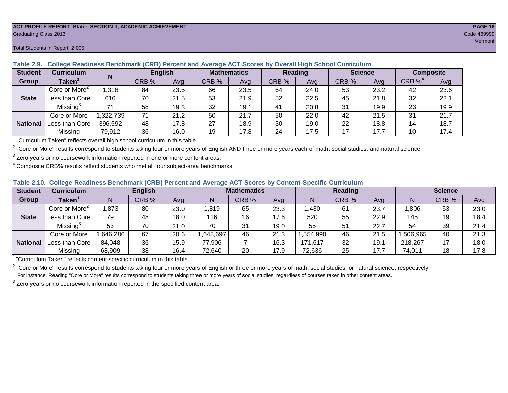### **ACT PROFILE REPORT- State: SECTION II, ACADEMIC ACHIEVEMENT PAGE 16** Graduating Class 2013 Code 469999

#### **Student Curriculum English Mathematics Reading Science Composite Group Taken<sup>1</sup> | III CRB** % | Avg | CRB % | Avg | CRB % | Avg | CRB % | CRB %<sup>4</sup> Avg Core or More<sup>2</sup> 1,318 | 84 | 23.5 | 66 | 23.5 | 64 | 24.0 | 53 | 23.2 | 42 | 23.6 Less than Core | 616 | 70 | 21.5 | 53 | 21.9 | 52 | 22.5 | 45 | 21.8 | 32 | 22.1 Missing<sup>3</sup> 71 | 58 | 19.3 | 32 | 19.1 | 41 | 20.8 | 31 | 19.9 | 23 | 19.9 Core or More | 1,322,739 | 71 | 21.2 | 50 | 250 | 22.0 | 42 | 21.5 | 31 | 21.7 Less than Core 396,592 48 17.8 27 18.9 30 19.0 22 18.8 14 18.7 Missing | 79,912 | 36 | 16.0 | 19 | 17.8 | 24 | 17.5 | 17 | 17.7 | 10 | 17.4 **N State National**

**Table 2.9. College Readiness Benchmark (CRB) Percent and Average ACT Scores by Overall High School Curriculum**

<sup>1</sup> "Curriculum Taken" reflects overall high school curriculum in this table.

 $^2$  "Core or More" results correspond to students taking four or more years of English AND three or more years each of math, social studies, and natural science.

 $3$  Zero years or no coursework information reported in one or more content areas.

 $4$  Composite CRB% results reflect students who met all four subject-area benchmarks.

| Table 2.10. College Readiness Benchmark (CRB) Percent and Average ACT Scores by Content-Specific Curriculum |
|-------------------------------------------------------------------------------------------------------------|
|-------------------------------------------------------------------------------------------------------------|

| <b>Student</b>  | Curriculum                    |          | <b>English</b> |      | <b>Mathematics</b> |       |      |          | <b>Reading</b> |      |          | <b>Science</b> |      |  |
|-----------------|-------------------------------|----------|----------------|------|--------------------|-------|------|----------|----------------|------|----------|----------------|------|--|
| Group           | $\mathsf{Taken}^{\mathsf{T}}$ |          | CRB %          | Avg  | N                  | CRB % | Avg  | N        | CRB %          | Avg  | N        | CRB %          | Avg  |  |
|                 | Core or More <sup>2</sup>     | ,873     | 80             | 23.0 | ,819               | 65    | 23.3 | ,430     | 61             | 23.7 | ,806     | 53             | 23.0 |  |
| <b>State</b>    | Less than Core                | 79       | 48             | 18.0 | 116                | 16    | 17.6 | 520      | 55             | 22.9 | 145      | 19             | 18.4 |  |
|                 | Missing <sup>3</sup>          | 53       | 70             | 21.0 | 70                 | 31    | 19.0 | 55       | 51             | 22.7 | 54       | 39             | 21.4 |  |
|                 | Core or More                  | .646,286 | 67             | 20.6 | 648,697            | 46    | 21.3 | ,554,990 | 46             | 21.5 | ,506,965 | 40             | 21.3 |  |
| <b>National</b> | Less than Core                | 84,048   | 36             | 15.9 | 77,906             |       | 16.3 | 171,617  | 32             | 19.1 | 218,267  |                | 18.0 |  |
|                 | Missing                       | 68,909   | 38             | 16.4 | 72,640             | 20    | 17.9 | 72,636   | 25             | 17.7 | 74,011   | 18             | 17.8 |  |

<sup>1</sup>"Curriculum Taken" reflects content-specific curriculum in this table.

<sup>2</sup> "Core or More" results correspond to students taking four or more years of English or three or more years of math, social studies, or natural science, respectively. For instance, Reading "Core or More" results correspond to students taking three or more years of social studies, regardless of courses taken in other content areas.

 $3$  Zero years or no coursework information reported in the specified content area.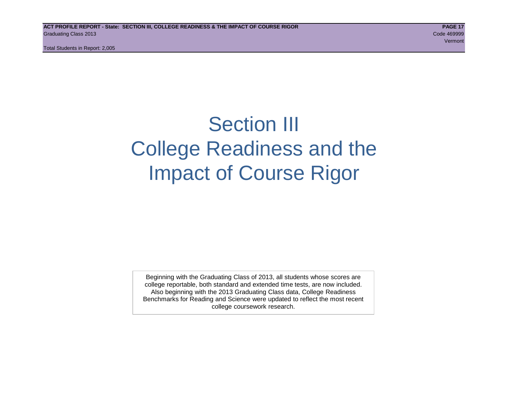Total Students in Report: 2,005

## Section III College Readiness and the Impact of Course Rigor

Beginning with the Graduating Class of 2013, all students whose scores are college reportable, both standard and extended time tests, are now included. Also beginning with the 2013 Graduating Class data, College Readiness Benchmarks for Reading and Science were updated to reflect the most recent college coursework research.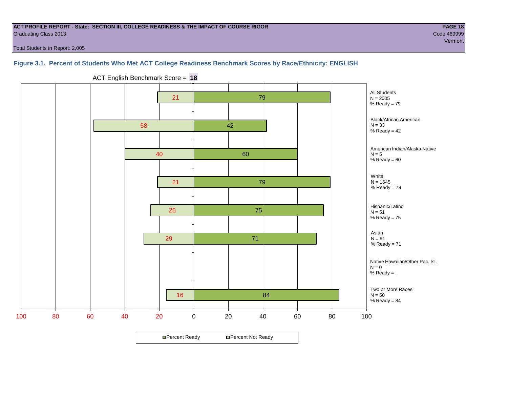## **ACT PROFILE REPORT - State: SECTION III, COLLEGE READINESS & THE IMPACT OF COURSE RIGOR PAGE 18** Graduating Class 2013 Code 469999

Total Students in Report: 2,005

## **Figure 3.1. Percent of Students Who Met ACT College Readiness Benchmark Scores by Race/Ethnicity: ENGLISH**



ACT English Benchmark Score = **18**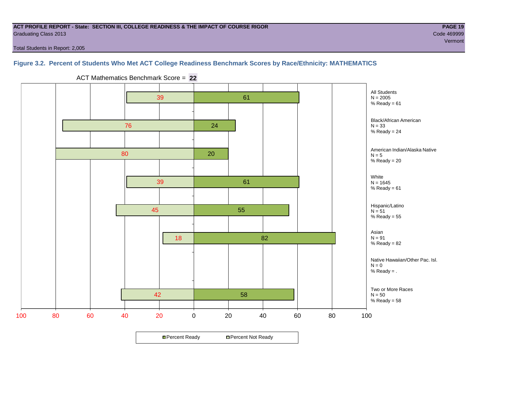## **ACT PROFILE REPORT - State: SECTION III, COLLEGE READINESS & THE IMPACT OF COURSE RIGOR PAGE 19** Graduating Class 2013 Code 469999

Total Students in Report: 2,005

## **Figure 3.2. Percent of Students Who Met ACT College Readiness Benchmark Scores by Race/Ethnicity: MATHEMATICS**



ACT Mathematics Benchmark Score = **22**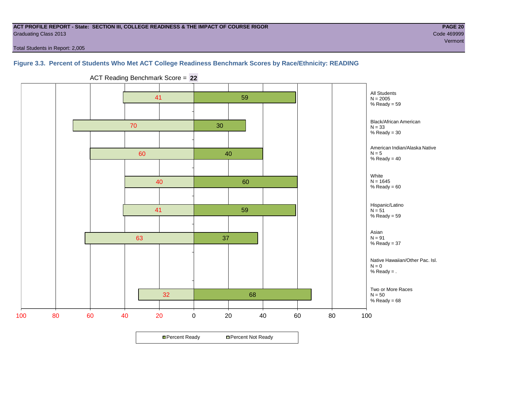## **ACT PROFILE REPORT - State: SECTION III, COLLEGE READINESS & THE IMPACT OF COURSE RIGOR PAGE 20** Graduating Class 2013 Code 469999

Total Students in Report: 2,005

## **Figure 3.3. Percent of Students Who Met ACT College Readiness Benchmark Scores by Race/Ethnicity: READING**



ACT Reading Benchmark Score = **22**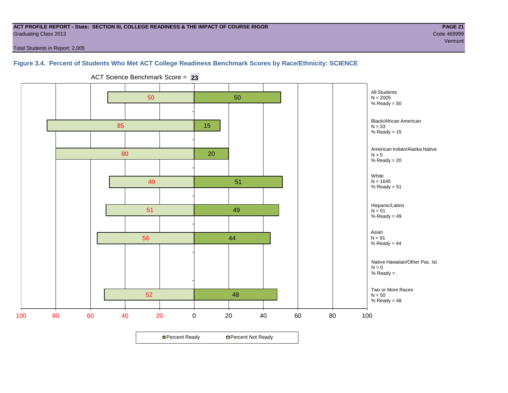## **ACT PROFILE REPORT - State: SECTION III, COLLEGE READINESS & THE IMPACT OF COURSE RIGOR PAGE 21** Graduating Class 2013 Code 469999

Total Students in Report: 2,005

## **Figure 3.4. Percent of Students Who Met ACT College Readiness Benchmark Scores by Race/Ethnicity: SCIENCE**

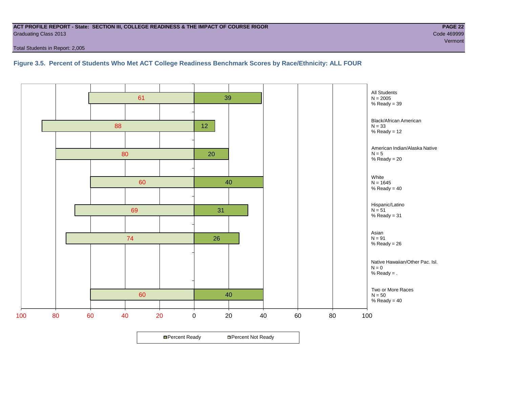## **ACT PROFILE REPORT - State: SECTION III, COLLEGE READINESS & THE IMPACT OF COURSE RIGOR PAGE 22** Graduating Class 2013 Code 469999

Total Students in Report: 2,005

**Figure 3.5. Percent of Students Who Met ACT College Readiness Benchmark Scores by Race/Ethnicity: ALL FOUR**

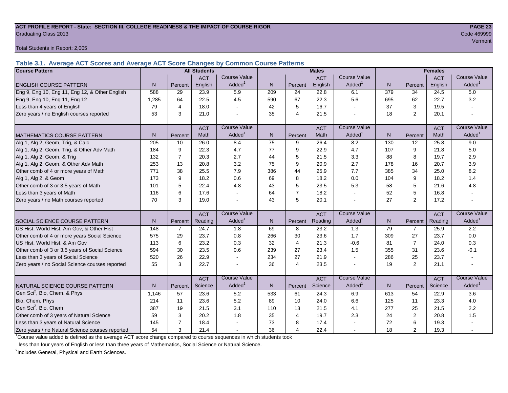## **ACT PROFILE REPORT - State: SECTION III, COLLEGE READINESS & THE IMPACT OF COURSE RIGOR PAGE 23** Graduating Class 2013 Code 469999

Total Students in Report: 2,005

**Table 3.1. Average ACT Scores and Average ACT Score Changes by Common Course Patterns**

| <b>Course Pattern</b>                            |                |                | <b>All Students</b> |                     |              |                | <b>Males</b> |                          |                |                | <b>Females</b> |                        |
|--------------------------------------------------|----------------|----------------|---------------------|---------------------|--------------|----------------|--------------|--------------------------|----------------|----------------|----------------|------------------------|
|                                                  |                |                | <b>ACT</b>          | <b>Course Value</b> |              |                | <b>ACT</b>   | <b>Course Value</b>      |                |                | <b>ACT</b>     | <b>Course Value</b>    |
| <b>ENGLISH COURSE PATTERN</b>                    | N <sub>1</sub> | Percent        | English             | Added <sup>®</sup>  | N            | Percent        | English      | Added <sup>1</sup>       | $\overline{N}$ | Percent        | English        | A d d e d <sup>1</sup> |
| Eng 9, Eng 10, Eng 11, Eng 12, & Other English   | 588            | 29             | 23.9                | 5.9                 | 209          | 24             | 22.8         | 6.1                      | 379            | 34             | 24.5           | 5.0                    |
| Eng 9, Eng 10, Eng 11, Eng 12                    | 1,285          | 64             | 22.5                | 4.5                 | 590          | 67             | 22.3         | 5.6                      | 695            | 62             | 22.7           | 3.2                    |
| Less than 4 years of English                     | 79             | 4              | 18.0                |                     | 42           | 5              | 16.7         | $\sim$                   | 37             | 3              | 19.5           |                        |
| Zero years / no English courses reported         | 53             | 3              | 21.0                |                     | 35           | $\overline{4}$ | 21.5         |                          | 18             | $\overline{2}$ | 20.1           |                        |
|                                                  |                |                | <b>ACT</b>          | <b>Course Value</b> |              |                | <b>ACT</b>   | <b>Course Value</b>      |                |                | <b>ACT</b>     | <b>Course Value</b>    |
| MATHEMATICS COURSE PATTERN                       | N.             | Percent        | Math                | Added               | $\mathsf{N}$ | Percent        | Math         | Added <sup>1</sup>       | N              | Percent        | Math           | A d d e d <sup>1</sup> |
| Alg 1, Alg 2, Geom, Trig, & Calc                 | 205            | 10             | 26.0                | 8.4                 | 75           | 9              | 26.4         | 8.2                      | 130            | 12             | 25.8           | 9.0                    |
| Alg 1, Alg 2, Geom, Trig, & Other Adv Math       | 184            | 9              | 22.3                | 4.7                 | 77           | 9              | 22.9         | 4.7                      | 107            | 9              | 21.8           | 5.0                    |
| Alg 1, Alg 2, Geom, & Trig                       | 132            | $\overline{7}$ | 20.3                | 2.7                 | 44           | 5              | 21.5         | 3.3                      | 88             | 8              | 19.7           | 2.9                    |
| Alg 1, Alg 2, Geom, & Other Adv Math             | 253            | 13             | 20.8                | 3.2                 | 75           | 9              | 20.9         | 2.7                      | 178            | 16             | 20.7           | 3.9                    |
| Other comb of 4 or more years of Math            | 771            | 38             | 25.5                | 7.9                 | 386          | 44             | 25.9         | 7.7                      | 385            | 34             | 25.0           | 8.2                    |
| Alg 1, Alg 2, & Geom                             | 173            | 9              | 18.2                | 0.6                 | 69           | 8              | 18.2         | 0.0                      | 104            | 9              | 18.2           | 1.4                    |
| Other comb of 3 or 3.5 years of Math             | 101            | 5              | 22.4                | 4.8                 | 43           | 5              | 23.5         | 5.3                      | 58             | 5              | 21.6           | 4.8                    |
| Less than 3 years of Math                        | 116            | 6              | 17.6                |                     | 64           | $\overline{7}$ | 18.2         | $\blacksquare$           | 52             | 5              | 16.8           |                        |
| Zero years / no Math courses reported            | 70             | 3              | 19.0                |                     | 43           | 5              | 20.1         | $\blacksquare$           | 27             | $\overline{2}$ | 17.2           |                        |
|                                                  |                |                | <b>ACT</b>          | <b>Course Value</b> |              |                | <b>ACT</b>   | <b>Course Value</b>      |                |                | <b>ACT</b>     | <b>Course Value</b>    |
| <b>SOCIAL SCIENCE COURSE PATTERN</b>             | N <sub>1</sub> | Percent        | Reading             | Added <sup>1</sup>  | N            | Percent        | Reading      | Added <sup>1</sup>       | N              | Percent        | Reading        | $A dded^1$             |
| US Hist, World Hist, Am Gov, & Other Hist        | 148            | $\overline{7}$ | 24.7                | 1.8                 | 69           | 8              | 23.2         | 1.3                      | 79             | $\overline{7}$ | 25.9           | 2.2                    |
| Other comb of 4 or more years Social Science     | 575            | 29             | 23.7                | 0.8                 | 266          | 30             | 23.6         | 1.7                      | 309            | 27             | 23.7           | 0.0                    |
| US Hist, World Hist, & Am Gov                    | 113            | 6              | 23.2                | 0.3                 | 32           | $\overline{4}$ | 21.3         | $-0.6$                   | 81             | $\overline{7}$ | 24.0           | 0.3                    |
| Other comb of 3 or 3.5 years of Social Science   | 594            | 30             | 23.5                | 0.6                 | 239          | 27             | 23.4         | 1.5                      | 355            | 31             | 23.6           | $-0.1$                 |
| Less than 3 years of Social Science              | 520            | 26             | 22.9                |                     | 234          | 27             | 21.9         | $\overline{\phantom{a}}$ | 286            | 25             | 23.7           |                        |
| Zero years / no Social Science courses reported  | 55             | 3              | 22.7                |                     | 36           | $\overline{4}$ | 23.5         | $\sim$                   | 19             | $\overline{2}$ | 21.1           |                        |
|                                                  |                |                | <b>ACT</b>          | <b>Course Value</b> |              |                | <b>ACT</b>   | Course Value             |                |                | <b>ACT</b>     | <b>Course Value</b>    |
| NATURAL SCIENCE COURSE PATTERN                   | N.             | Percent        | Science             | Added               | $\mathsf{N}$ | Percent        | Science      | Added <sup>1</sup>       | N              | Percent        | Science        | A d d e d <sup>1</sup> |
| Gen Sci <sup>2</sup> , Bio, Chem, & Phys         | 1,146          | 57             | 23.6                | 5.2                 | 533          | 61             | 24.3         | 6.9                      | 613            | 54             | 22.9           | 3.6                    |
| Bio, Chem, Phys                                  | 214            | 11             | 23.6                | 5.2                 | 89           | 10             | 24.0         | 6.6                      | 125            | 11             | 23.3           | 4.0                    |
| Gen Sci <sup>2</sup> , Bio, Chem                 | 387            | 19             | 21.5                | 3.1                 | 110          | 13             | 21.5         | 4.1                      | 277            | 25             | 21.5           | 2.2                    |
| Other comb of 3 years of Natural Science         | 59             | 3              | 20.2                | 1.8                 | 35           | $\overline{4}$ | 19.7         | 2.3                      | 24             | $\mathbf 2$    | 20.8           | 1.5                    |
| Less than 3 years of Natural Science             | 145            |                | 18.4                |                     | 73           | 8              | 17.4         |                          | 72             | 6              | 19.3           |                        |
| Zero years / no Natural Science courses reported | 54             | 3              | 21.4                |                     | 36           | $\overline{4}$ | 22.4         | $\sim$                   | 18             | $\overline{2}$ | 19.3           |                        |

<sup>1</sup>Course value added is defined as the average ACT score change compared to course sequences in which students took

less than four years of English or less than three years of Mathematics, Social Science or Natural Science.

<sup>2</sup>Includes General, Physical and Earth Sciences.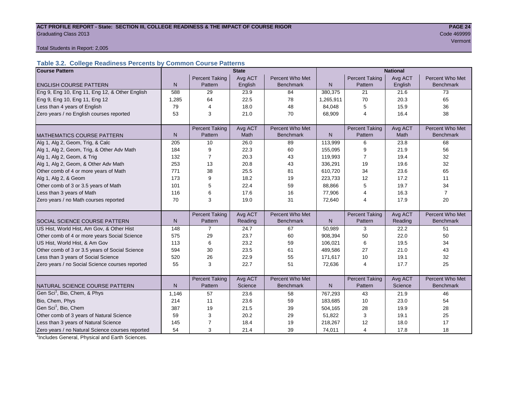## ACT PROFILE REPORT - State: SECTION III, COLLEGE READINESS & THE IMPACT OF COURSE RIGOR **PAGE 24 Graduating Class 2013** Code 469999 Code 469999

Vermont

Total Students in Report: 2,005

## **Table 3.2. College Readiness Percents by Common Course Patterns**

| <b>Course Pattern</b>                            |              |                       | <b>State</b> |                  |              | <b>National</b>       |         |                  |  |  |
|--------------------------------------------------|--------------|-----------------------|--------------|------------------|--------------|-----------------------|---------|------------------|--|--|
|                                                  |              | <b>Percent Taking</b> | Avg ACT      | Percent Who Met  |              | <b>Percent Taking</b> | Avg ACT | Percent Who Met  |  |  |
| <b>ENGLISH COURSE PATTERN</b>                    | $\mathsf{N}$ | Pattern               | English      | <b>Benchmark</b> | N            | Pattern               | English | <b>Benchmark</b> |  |  |
| Eng 9, Eng 10, Eng 11, Eng 12, & Other English   | 588          | 29                    | 23.9         | 84               | 380,375      | 21                    | 21.6    | 73               |  |  |
| Eng 9, Eng 10, Eng 11, Eng 12                    | 1,285        | 64                    | 22.5         | 78               | 1,265,911    | 70                    | 20.3    | 65               |  |  |
| Less than 4 years of English                     | 79           | $\overline{4}$        | 18.0         | 48               | 84,048       | 5                     | 15.9    | 36               |  |  |
| Zero years / no English courses reported         | 53           | 3                     | 21.0         | 70               | 68,909       | $\overline{4}$        | 16.4    | 38               |  |  |
|                                                  |              |                       |              |                  |              |                       |         |                  |  |  |
|                                                  |              | <b>Percent Taking</b> | Avg ACT      | Percent Who Met  |              | <b>Percent Taking</b> | Avg ACT | Percent Who Met  |  |  |
| <b>MATHEMATICS COURSE PATTERN</b>                | $\mathsf{N}$ | Pattern               | Math         | <b>Benchmark</b> | $\mathsf{N}$ | Pattern               | Math    | Benchmark        |  |  |
| Alg 1, Alg 2, Geom, Trig, & Calc                 | 205          | 10                    | 26.0         | 89               | 113,999      | 6                     | 23.8    | 68               |  |  |
| Alg 1, Alg 2, Geom, Trig, & Other Adv Math       | 184          | 9                     | 22.3         | 60               | 155,095      | 9                     | 21.9    | 56               |  |  |
| Alg 1, Alg 2, Geom, & Trig                       | 132          | $\overline{7}$        | 20.3         | 43               | 119,993      | 7                     | 19.4    | 32               |  |  |
| Alg 1, Alg 2, Geom, & Other Adv Math             | 253          | 13                    | 20.8         | 43               | 336,291      | 19                    | 19.6    | 32               |  |  |
| Other comb of 4 or more years of Math            | 771          | 38                    | 25.5         | 81               | 610,720      | 34                    | 23.6    | 65               |  |  |
| Alg 1, Alg 2, & Geom                             | 173          | 9                     | 18.2         | 19               | 223,733      | 12                    | 17.2    | 11               |  |  |
| Other comb of 3 or 3.5 years of Math             | 101          | 5                     | 22.4         | 59               | 88,866       | 5                     | 19.7    | 34               |  |  |
| Less than 3 years of Math                        | 116          | 6                     | 17.6         | 16               | 77,906       | 4                     | 16.3    | $\overline{7}$   |  |  |
| Zero years / no Math courses reported            | 70           | 3                     | 19.0         | 31               | 72,640       | 4                     | 17.9    | 20               |  |  |
|                                                  |              |                       |              |                  |              |                       |         |                  |  |  |
|                                                  |              | <b>Percent Taking</b> | Avg ACT      | Percent Who Met  |              | <b>Percent Taking</b> | Avg ACT | Percent Who Met  |  |  |
| <b>SOCIAL SCIENCE COURSE PATTERN</b>             | N            | Pattern               | Reading      | <b>Benchmark</b> | N            | Pattern               | Reading | <b>Benchmark</b> |  |  |
| US Hist, World Hist, Am Gov, & Other Hist        | 148          | $\overline{7}$        | 24.7         | 67               | 50,989       | 3                     | 22.2    | 51               |  |  |
| Other comb of 4 or more years Social Science     | 575          | 29                    | 23.7         | 60               | 908,394      | 50                    | 22.0    | 50               |  |  |
| US Hist, World Hist, & Am Gov                    | 113          | 6                     | 23.2         | 59               | 106,021      | 6                     | 19.5    | 34               |  |  |
| Other comb of 3 or 3.5 years of Social Science   | 594          | 30                    | 23.5         | 61               | 489.586      | 27                    | 21.0    | 43               |  |  |
| Less than 3 years of Social Science              | 520          | 26                    | 22.9         | 55               | 171,617      | 10                    | 19.1    | 32               |  |  |
| Zero years / no Social Science courses reported  | 55           | 3                     | 22.7         | 51               | 72,636       | 4                     | 17.7    | 25               |  |  |
|                                                  |              |                       |              |                  |              |                       |         |                  |  |  |
|                                                  |              | <b>Percent Taking</b> | Avg ACT      | Percent Who Met  |              | Percent Taking        | Avg ACT | Percent Who Met  |  |  |
| NATURAL SCIENCE COURSE PATTERN                   | N            | Pattern               | Science      | <b>Benchmark</b> | N            | Pattern               | Science | <b>Benchmark</b> |  |  |
| Gen Sci <sup>1</sup> , Bio, Chem, & Phys         | 1,146        | 57                    | 23.6         | 58               | 767,293      | 43                    | 21.9    | 46               |  |  |
| Bio, Chem, Phys                                  | 214          | 11                    | 23.6         | 59               | 183,685      | 10                    | 23.0    | 54               |  |  |
| Gen Sci <sup>1</sup> , Bio, Chem                 | 387          | 19                    | 21.5         | 39               | 504,165      | 28                    | 19.9    | 28               |  |  |
| Other comb of 3 years of Natural Science         | 59           | 3                     | 20.2         | 29               | 51,822       | 3                     | 19.1    | 25               |  |  |
| Less than 3 years of Natural Science             | 145          | 7                     | 18.4         | 19               | 218,267      | 12                    | 18.0    | 17               |  |  |
| Zero years / no Natural Science courses reported | 54           | 3                     | 21.4         | 39               | 74,011       | 4                     | 17.8    | 18               |  |  |

<sup>1</sup>Includes General, Physical and Earth Sciences.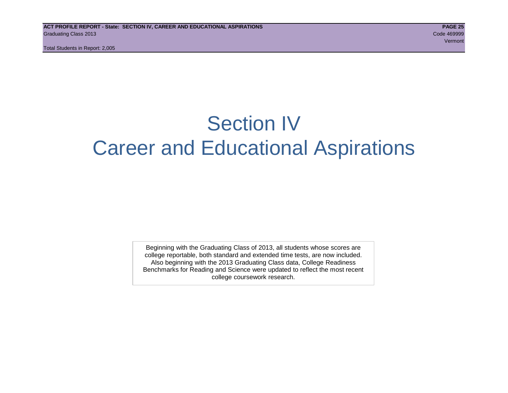Total Students in Report: 2,005

## Section IV Career and Educational Aspirations

Beginning with the Graduating Class of 2013, all students whose scores are college reportable, both standard and extended time tests, are now included. Also beginning with the 2013 Graduating Class data, College Readiness Benchmarks for Reading and Science were updated to reflect the most recent college coursework research.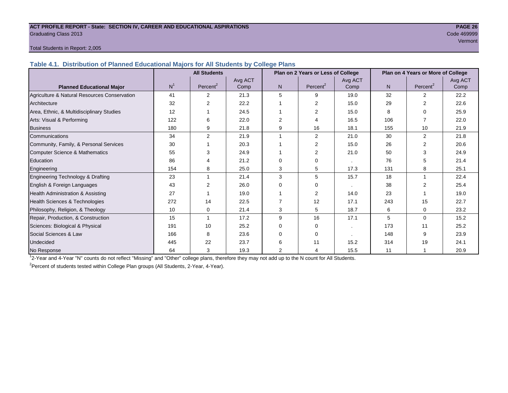## **ACT PROFILE REPORT - State: SECTION IV, CAREER AND EDUCATIONAL ASPIRATIONS PAGE 26** Graduating Class 2013 Code 469999

## Vermont

## Total Students in Report: 2,005

**Table 4.1. Distribution of Planned Educational Majors for All Students by College Plans**

|                                              |                | <b>All Students</b>  |         |                | Plan on 2 Years or Less of College |         | Plan on 4 Years or More of College |                      |         |  |
|----------------------------------------------|----------------|----------------------|---------|----------------|------------------------------------|---------|------------------------------------|----------------------|---------|--|
|                                              |                |                      | Avg ACT |                |                                    | Avg ACT |                                    |                      | Avg ACT |  |
| <b>Planned Educational Major</b>             | N <sup>1</sup> | Percent <sup>2</sup> | Comp    | N <sub>1</sub> | Percent <sup>2</sup>               | Comp    | N                                  | Percent <sup>2</sup> | Comp    |  |
| Agriculture & Natural Resources Conservation | 41             | 2                    | 21.3    | 5              | 9                                  | 19.0    | 32                                 | 2                    | 22.2    |  |
| Architecture                                 | 32             | $\overline{2}$       | 22.2    |                | 2                                  | 15.0    | 29                                 | 2                    | 22.6    |  |
| Area, Ethnic, & Multidisciplinary Studies    | 12             |                      | 24.5    |                | $\overline{2}$                     | 15.0    | 8                                  | 0                    | 25.9    |  |
| Arts: Visual & Performing                    | 122            | 6                    | 22.0    | 2              |                                    | 16.5    | 106                                |                      | 22.0    |  |
| <b>Business</b>                              | 180            | 9                    | 21.8    | 9              | 16                                 | 18.1    | 155                                | 10                   | 21.9    |  |
| Communications                               | 34             | 2                    | 21.9    |                | 2                                  | 21.0    | 30                                 | 2                    | 21.8    |  |
| Community, Family, & Personal Services       | 30             |                      | 20.3    |                | 2                                  | 15.0    | 26                                 | $\mathfrak{p}$       | 20.6    |  |
| Computer Science & Mathematics               | 55             | 3                    | 24.9    |                | 2                                  | 21.0    | 50                                 | 3                    | 24.9    |  |
| Education                                    | 86             | 4                    | 21.2    | $\Omega$       | $\Omega$                           |         | 76                                 | 5                    | 21.4    |  |
| Engineering                                  | 154            | 8                    | 25.0    | 3              | 5                                  | 17.3    | 131                                | 8                    | 25.1    |  |
| Engineering Technology & Drafting            | 23             | 1                    | 21.4    | 3              | 5                                  | 15.7    | 18                                 |                      | 22.4    |  |
| English & Foreign Languages                  | 43             | 2                    | 26.0    | $\Omega$       | $\Omega$                           |         | 38                                 | 2                    | 25.4    |  |
| <b>Health Administration &amp; Assisting</b> | 27             |                      | 19.0    |                | 2                                  | 14.0    | 23                                 |                      | 19.0    |  |
| Health Sciences & Technologies               | 272            | 14                   | 22.5    |                | 12                                 | 17.1    | 243                                | 15                   | 22.7    |  |
| Philosophy, Religion, & Theology             | 10             | 0                    | 21.4    | 3              | 5                                  | 18.7    | 6                                  | 0                    | 23.2    |  |
| Repair, Production, & Construction           | 15             | 1                    | 17.2    | 9              | 16                                 | 17.1    | 5                                  | $\Omega$             | 15.2    |  |
| Sciences: Biological & Physical              | 191            | 10                   | 25.2    | $\Omega$       | $\Omega$                           | $\cdot$ | 173                                | 11                   | 25.2    |  |
| Social Sciences & Law                        | 166            | 8                    | 23.6    | $\Omega$       | $\Omega$                           |         | 148                                | 9                    | 23.9    |  |
| Undecided                                    | 445            | 22                   | 23.7    | 6              | 11                                 | 15.2    | 314                                | 19                   | 24.1    |  |
| No Response                                  | 64             | 3                    | 19.3    | $\overline{2}$ | Δ                                  | 15.5    | 11                                 |                      | 20.9    |  |

1 2-Year and 4-Year "N" counts do not reflect "Missing" and "Other" college plans, therefore they may not add up to the N count for All Students.

<sup>2</sup> Percent of students tested within College Plan groups (All Students, 2-Year, 4-Year).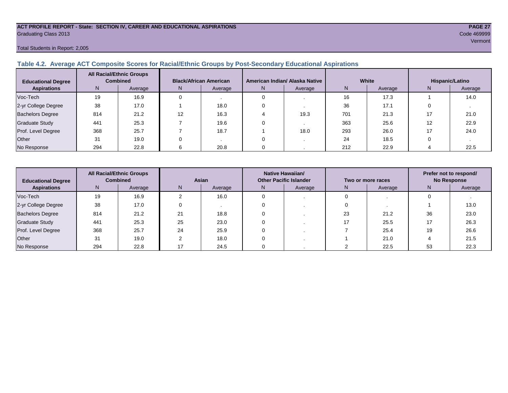## **ACT PROFILE REPORT - State: SECTION IV, CAREER AND EDUCATIONAL ASPIRATIONS PAGE 27** Graduating Class 2013 Code 469999

## Total Students in Report: 2,005

## **Table 4.2. Average ACT Composite Scores for Racial/Ethnic Groups by Post-Secondary Educational Aspirations**

| <b>Educational Degree</b> |     | <b>All Racial/Ethnic Groups</b><br><b>Combined</b> | <b>Black/African American</b> |         | American Indian/ Alaska Native |         | White |         | Hispanic/Latino |         |
|---------------------------|-----|----------------------------------------------------|-------------------------------|---------|--------------------------------|---------|-------|---------|-----------------|---------|
| <b>Aspirations</b>        | N.  | Average                                            | N.                            | Average | N                              | Average | Ν     | Average | N               | Average |
| Voc-Tech                  | 19  | 16.9                                               |                               |         |                                |         | 16    | 17.3    |                 | 14.0    |
| 2-yr College Degree       | 38  | 17.0                                               |                               | 18.0    |                                |         | 36    | 17.1    |                 |         |
| <b>Bachelors Degree</b>   | 814 | 21.2                                               | 12                            | 16.3    |                                | 19.3    | 701   | 21.3    |                 | 21.0    |
| <b>Graduate Study</b>     | 441 | 25.3                                               |                               | 19.6    |                                |         | 363   | 25.6    | 12              | 22.9    |
| Prof. Level Degree        | 368 | 25.7                                               |                               | 18.7    |                                | 18.0    | 293   | 26.0    |                 | 24.0    |
| Other                     | 31  | 19.0                                               |                               |         |                                |         | 24    | 18.5    |                 |         |
| No Response               | 294 | 22.8                                               |                               | 20.8    |                                |         | 212   | 22.9    |                 | 22.5    |

| <b>Educational Degree</b> | <b>All Racial/Ethnic Groups</b><br><b>Combined</b> |         | Asian |         | <b>Native Hawaiian/</b><br><b>Other Pacific Islander</b> |         | Two or more races |         | Prefer not to respond/<br><b>No Response</b> |         |  |
|---------------------------|----------------------------------------------------|---------|-------|---------|----------------------------------------------------------|---------|-------------------|---------|----------------------------------------------|---------|--|
| <b>Aspirations</b>        | N.                                                 | Average | N     | Average | N                                                        | Average | N                 | Average | N                                            | Average |  |
| Voc-Tech                  | 19                                                 | 16.9    |       | 16.0    |                                                          |         |                   |         |                                              |         |  |
| 2-yr College Degree       | 38                                                 | 17.0    |       |         |                                                          |         |                   |         |                                              | 13.0    |  |
| <b>Bachelors Degree</b>   | 814                                                | 21.2    | 21    | 18.8    |                                                          |         | 23                | 21.2    | 36                                           | 23.0    |  |
| <b>Graduate Study</b>     | 441                                                | 25.3    | 25    | 23.0    |                                                          |         |                   | 25.5    |                                              | 26.3    |  |
| Prof. Level Degree        | 368                                                | 25.7    | 24    | 25.9    |                                                          |         |                   | 25.4    | 19                                           | 26.6    |  |
| Other                     | 31                                                 | 19.0    |       | 18.0    |                                                          |         |                   | 21.0    |                                              | 21.5    |  |
| No Response               | 294                                                | 22.8    |       | 24.5    |                                                          |         |                   | 22.5    | 53                                           | 22.3    |  |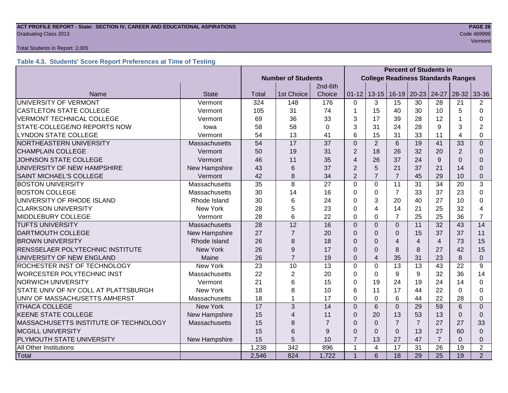## **ACT PROFILE REPORT - State: SECTION IV, CAREER AND EDUCATIONAL ASPIRATIONS PAGE 28** Graduating Class 2013 Code 469999

## Total Students in Report: 2,005

## **Table 4.3. Students' Score Report Preferences at Time of Testing**

|                                                        |                 |                           |                 |                |                          |                                           | <b>Percent of Students in</b> |                |                 |                |                          |  |
|--------------------------------------------------------|-----------------|---------------------------|-----------------|----------------|--------------------------|-------------------------------------------|-------------------------------|----------------|-----------------|----------------|--------------------------|--|
|                                                        |                 | <b>Number of Students</b> |                 |                |                          | <b>College Readiness Standards Ranges</b> |                               |                |                 |                |                          |  |
|                                                        |                 |                           |                 | 2nd-6th        |                          |                                           |                               |                |                 |                |                          |  |
| Name                                                   | <b>State</b>    | Total                     | 1st Choice      | Choice         | $01 - 12$                |                                           | $13-15$ 16-19                 | $20 - 23$      | 24-27           | $28-32$        | 33-36                    |  |
| UNIVERSITY OF VERMONT                                  | Vermont         | 324                       | 148             | 176            | $\Omega$                 | 3                                         | 15                            | 30             | 28              | 21             | 2                        |  |
| <b>CASTLETON STATE COLLEGE</b>                         | Vermont         | 105                       | 31              | 74             |                          | 15                                        | 40                            | 30             | 10              | 5              | $\Omega$                 |  |
| <b>VERMONT TECHNICAL COLLEGE</b>                       | Vermont         | 69                        | 36              | 33             | 3                        | 17                                        | 39                            | 28             | 12              |                | 0                        |  |
| STATE-COLLEGE/NO REPORTS NOW                           | lowa            | 58                        | 58              | 0              | 3                        | 31                                        | 24                            | 28             | 9               | 3              | 2                        |  |
| <b>LYNDON STATE COLLEGE</b>                            | Vermont         | 54                        | 13              | 41             | 6                        | 15                                        | 31                            | 33             | 11              | $\overline{4}$ | $\Omega$                 |  |
| NORTHEASTERN UNIVERSITY                                | Massachusetts   | 54                        | $\overline{17}$ | 37             | $\overline{0}$           | $\overline{2}$                            | $6\phantom{1}$                | 19             | 41              | 33             | $\Omega$                 |  |
| <b>CHAMPLAIN COLLEGE</b>                               | Vermont         | 50                        | 19              | 31             | $\overline{2}$           | 18                                        | 26                            | 32             | 20              | 2              | $\Omega$                 |  |
| JOHNSON STATE COLLEGE                                  | Vermont         | 46                        | 11              | 35             | $\overline{\mathcal{A}}$ | 26                                        | 37                            | 24             | 9               | $\Omega$       | $\Omega$                 |  |
| UNIVERSITY OF NEW HAMPSHIRE                            | New Hampshire   | 43                        | 6               | 37             | $\overline{2}$           | 5                                         | 21                            | 37             | 21              | 14             | $\Omega$                 |  |
| <b>SAINT MICHAEL'S COLLEGE</b>                         | Vermont         | 42                        | 8               | 34             | $\overline{2}$           | $\overline{7}$                            | $\overline{7}$                | 45             | 29              | 10             | 0                        |  |
| <b>BOSTON UNIVERSITY</b>                               | Massachusetts   | 35                        | 8               | 27             | $\Omega$                 | $\mathbf 0$                               | 11                            | 31             | 34              | 20             | 3                        |  |
| <b>BOSTON COLLEGE</b>                                  | Massachusetts   | 30                        | 14              | 16             | 0                        | 0                                         | $\overline{7}$                | 33             | 37              | 23             | $\Omega$                 |  |
| UNIVERSITY OF RHODE ISLAND                             | Rhode Island    | 30                        | 6               | 24             | 0                        | 3                                         | 20                            | 40             | 27              | 10             | $\Omega$                 |  |
| <b>CLARKSON UNIVERSITY</b>                             | <b>New York</b> | 28                        | 5               | 23             | $\Omega$                 | $\overline{4}$                            | 14                            | 21             | 25              | 32             | $\overline{\mathcal{A}}$ |  |
| <b>MIDDLEBURY COLLEGE</b>                              | Vermont         | 28                        | 6               | 22             | $\Omega$                 | $\Omega$                                  | $\overline{7}$                | 25             | 25              | 36             | $\overline{7}$           |  |
| <b>TUFTS UNIVERSITY</b>                                | Massachusetts   | 28                        | 12              | 16             | $\overline{0}$           | $\mathbf 0$                               | $\overline{0}$                | 11             | 32              | 43             | 14                       |  |
| <b>DARTMOUTH COLLEGE</b>                               | New Hampshire   | 27                        | $\overline{7}$  | 20             | $\Omega$                 | $\Omega$                                  | 0                             | 15             | 37              | 37             | 11                       |  |
| <b>BROWN UNIVERSITY</b>                                | Rhode Island    | 26                        | 8               | 18             | $\Omega$                 | $\Omega$                                  | $\overline{4}$                | $\overline{4}$ | $\overline{4}$  | 73             | 15                       |  |
| RENSSELAER POLYTECHNIC INSTITUTE                       | New York        | 26                        | 9               | 17             | $\Omega$                 | $\Omega$                                  | 8                             | 8              | 27              | 42             | 15                       |  |
| UNIVERSITY OF NEW ENGLAND                              | Maine           | 26                        | $\overline{7}$  | 19             | $\Omega$                 | $\overline{4}$                            | 35                            | 31             | 23              | 8              | $\Omega$                 |  |
| ROCHESTER INST OF TECHNOLOGY                           | <b>New York</b> | 23                        | 10              | 13             | $\mathbf 0$              | $\mathbf 0$                               | 13                            | 13             | 43              | 22             | 9                        |  |
| <b>WORCESTER POLYTECHNIC INST</b>                      | Massachusetts   | 22                        | $\overline{2}$  | 20             | 0                        | $\mathbf 0$                               | 9                             | $9\,$          | 32              | 36             | 14                       |  |
| <b>NORWICH UNIVERSITY</b>                              | Vermont         | 21                        | 6               | 15             | 0                        | 19                                        | 24                            | 19             | 24              | 14             | $\Omega$                 |  |
| STATE UNIV OF NY COLL AT PLATTSBURGH                   | <b>New York</b> | 18                        | 8               | 10             | 6                        | 11                                        | 17                            | 44             | 22              | $\Omega$       | 0                        |  |
| UNIV OF MASSACHUSETTS AMHERST<br>Massachusetts         |                 | 18                        |                 | 17             | $\Omega$                 | $\mathbf 0$                               | 6                             | 44             | 22              | 28             | 0                        |  |
| <b>ITHACA COLLEGE</b>                                  | <b>New York</b> | 17                        | 3               | 14             | $\Omega$                 | 6                                         | $\Omega$                      | 29             | 59              | 6              | $\Omega$                 |  |
| <b>KEENE STATE COLLEGE</b>                             | New Hampshire   | 15                        | 4               | 11             | $\Omega$                 | 20                                        | 13                            | 53             | 13              | $\Omega$       | $\Omega$                 |  |
| MASSACHUSETTS INSTITUTE OF TECHNOLOGY<br>Massachusetts |                 | 15                        | 8               | $\overline{7}$ | $\Omega$                 | $\mathbf 0$                               | $\overline{7}$                | $\overline{7}$ | 27              | 27             | 33                       |  |
| <b>MCGILL UNIVERSITY</b>                               |                 | 15                        | 6               | 9              | $\Omega$                 | $\Omega$                                  | $\Omega$                      | 13             | 27              | 60             | $\Omega$                 |  |
| PLYMOUTH STATE UNIVERSITY                              | New Hampshire   |                           | 5               | 10             | $\overline{7}$           | 13                                        | 27                            | 47             | $\overline{7}$  | $\Omega$       | 0                        |  |
| <b>All Other Institutions</b>                          |                 | 1,238                     | 342             | 896            | 1                        | $\overline{\mathbf{4}}$                   | 17                            | 31             | 26              | 19             | $\overline{2}$           |  |
| Total                                                  |                 | 2,546                     | 824             | 1,722          | $\overline{1}$           | 6                                         | 18                            | 29             | $\overline{25}$ | 19             | $\overline{2}$           |  |

Vermont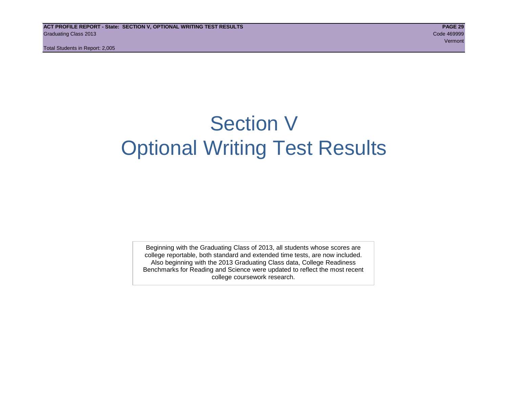## Section V Optional Writing Test Results

Beginning with the Graduating Class of 2013, all students whose scores are college reportable, both standard and extended time tests, are now included. Also beginning with the 2013 Graduating Class data, College Readiness Benchmarks for Reading and Science were updated to reflect the most recent college coursework research.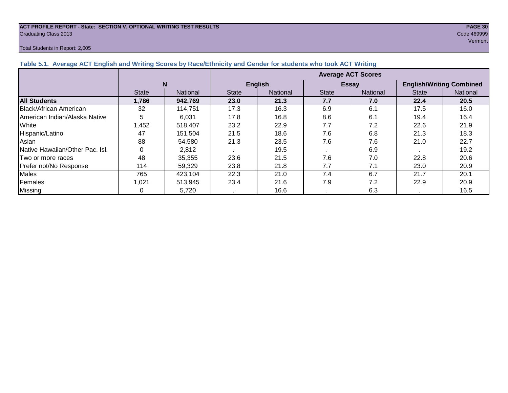## **ACT PROFILE REPORT - State: SECTION V, OPTIONAL WRITING TEST RESULTS PAGE 30 Graduating Class 2013** Code 469999

## Total Students in Report: 2,005

| Total Students in Report: 2,005                                                                                  |                           |  |  |  |  |  |  |
|------------------------------------------------------------------------------------------------------------------|---------------------------|--|--|--|--|--|--|
| Table 5.1. Average ACT English and Writing Scores by Race/Ethnicity and Gender for students who took ACT Writing |                           |  |  |  |  |  |  |
|                                                                                                                  | <b>Average ACT Scores</b> |  |  |  |  |  |  |

|                                 |              |                 | <b>Average ACT Scores</b> |                 |              |                 |                                 |          |  |  |
|---------------------------------|--------------|-----------------|---------------------------|-----------------|--------------|-----------------|---------------------------------|----------|--|--|
|                                 | N            |                 |                           | <b>English</b>  |              | <b>Essay</b>    | <b>English/Writing Combined</b> |          |  |  |
|                                 | <b>State</b> | <b>National</b> | <b>State</b>              | <b>National</b> | <b>State</b> | <b>National</b> | <b>State</b>                    | National |  |  |
| <b>All Students</b>             | 1,786        | 942,769         | 23.0                      | 21.3            | 7.7          | 7.0             | 22.4                            | 20.5     |  |  |
| Black/African American          | 32           | 114,751         | 17.3                      | 16.3            | 6.9          | 6.1             | 17.5                            | 16.0     |  |  |
| IAmerican Indian/Alaska Native  | 5            | 6.031           | 17.8                      | 16.8            | 8.6          | 6.1             | 19.4                            | 16.4     |  |  |
| White                           | A52,         | 518,407         | 23.2                      | 22.9            | 7.7          | 7.2             | 22.6                            | 21.9     |  |  |
| Hispanic/Latino                 | 47           | 151,504         | 21.5                      | 18.6            | 7.6          | 6.8             | 21.3                            | 18.3     |  |  |
| Asian                           | 88           | 54,580          | 21.3                      | 23.5            | 7.6          | 7.6             | 21.0                            | 22.7     |  |  |
| Native Hawaiian/Other Pac. Isl. |              | 2,812           |                           | 19.5            |              | 6.9             |                                 | 19.2     |  |  |
| Two or more races               | 48           | 35,355          | 23.6                      | 21.5            | 7.6          | 7.0             | 22.8                            | 20.6     |  |  |
| Prefer not/No Response          | 114          | 59,329          | 23.8                      | 21.8            | 7.7          | 7.1             | 23.0                            | 20.9     |  |  |
| <b>Males</b>                    | 765          | 423,104         | 22.3                      | 21.0            | 7.4          | 6.7             | 21.7                            | 20.1     |  |  |
| Females                         | 1,021        | 513,945         | 23.4                      | 21.6            | 7.9          | 7.2             | 22.9                            | 20.9     |  |  |
| <b>Missing</b>                  |              | 5,720           |                           | 16.6            |              | 6.3             |                                 | 16.5     |  |  |